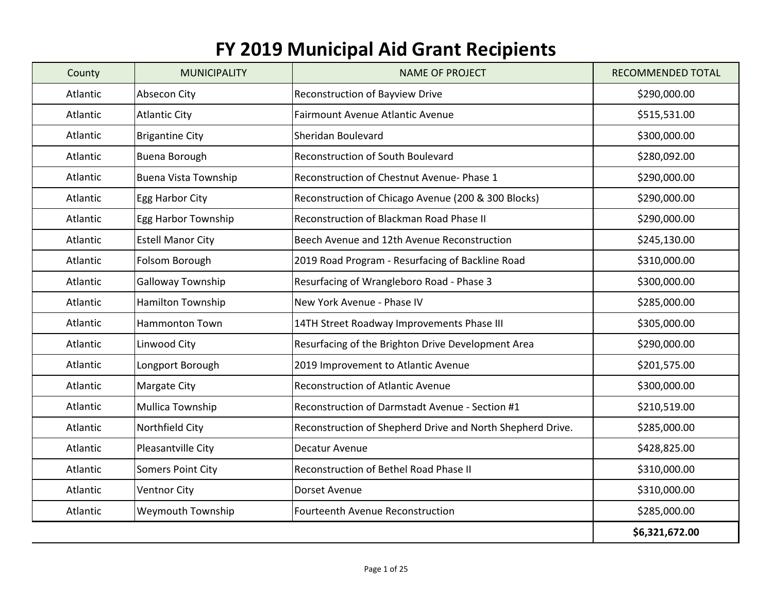## **FY 2019 Municipal Aid Grant Recipients**

| County   | <b>MUNICIPALITY</b>      | <b>NAME OF PROJECT</b>                                     | <b>RECOMMENDED TOTAL</b> |
|----------|--------------------------|------------------------------------------------------------|--------------------------|
| Atlantic | Absecon City             | <b>Reconstruction of Bayview Drive</b>                     | \$290,000.00             |
| Atlantic | <b>Atlantic City</b>     | <b>Fairmount Avenue Atlantic Avenue</b>                    | \$515,531.00             |
| Atlantic | <b>Brigantine City</b>   | Sheridan Boulevard                                         | \$300,000.00             |
| Atlantic | <b>Buena Borough</b>     | Reconstruction of South Boulevard                          | \$280,092.00             |
| Atlantic | Buena Vista Township     | Reconstruction of Chestnut Avenue- Phase 1                 | \$290,000.00             |
| Atlantic | Egg Harbor City          | Reconstruction of Chicago Avenue (200 & 300 Blocks)        | \$290,000.00             |
| Atlantic | Egg Harbor Township      | Reconstruction of Blackman Road Phase II                   | \$290,000.00             |
| Atlantic | <b>Estell Manor City</b> | Beech Avenue and 12th Avenue Reconstruction                | \$245,130.00             |
| Atlantic | Folsom Borough           | 2019 Road Program - Resurfacing of Backline Road           | \$310,000.00             |
| Atlantic | Galloway Township        | Resurfacing of Wrangleboro Road - Phase 3                  | \$300,000.00             |
| Atlantic | Hamilton Township        | New York Avenue - Phase IV                                 | \$285,000.00             |
| Atlantic | <b>Hammonton Town</b>    | 14TH Street Roadway Improvements Phase III                 | \$305,000.00             |
| Atlantic | Linwood City             | Resurfacing of the Brighton Drive Development Area         | \$290,000.00             |
| Atlantic | Longport Borough         | 2019 Improvement to Atlantic Avenue                        | \$201,575.00             |
| Atlantic | <b>Margate City</b>      | <b>Reconstruction of Atlantic Avenue</b>                   | \$300,000.00             |
| Atlantic | Mullica Township         | Reconstruction of Darmstadt Avenue - Section #1            | \$210,519.00             |
| Atlantic | Northfield City          | Reconstruction of Shepherd Drive and North Shepherd Drive. | \$285,000.00             |
| Atlantic | Pleasantville City       | Decatur Avenue                                             | \$428,825.00             |
| Atlantic | <b>Somers Point City</b> | Reconstruction of Bethel Road Phase II                     | \$310,000.00             |
| Atlantic | <b>Ventnor City</b>      | Dorset Avenue                                              | \$310,000.00             |
| Atlantic | Weymouth Township        | Fourteenth Avenue Reconstruction                           | \$285,000.00             |
|          |                          |                                                            | \$6,321,672.00           |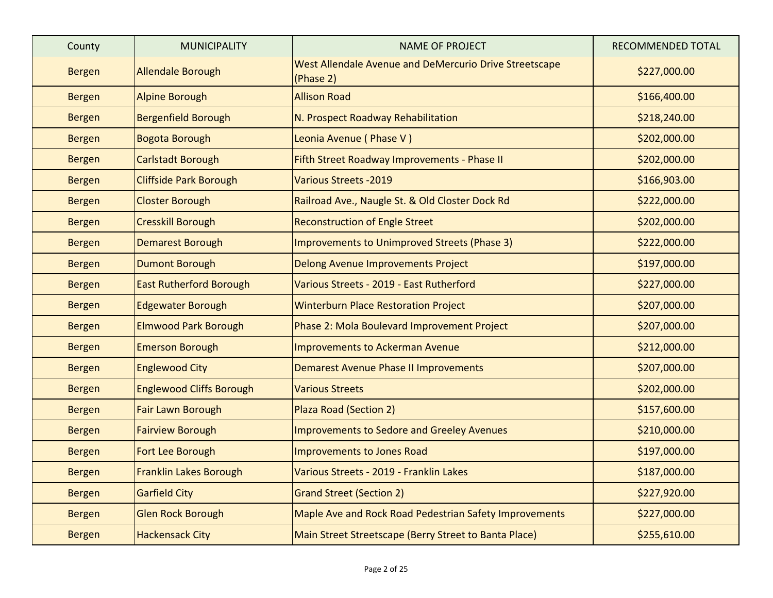| County        | <b>MUNICIPALITY</b>             | <b>NAME OF PROJECT</b>                                              | RECOMMENDED TOTAL |
|---------------|---------------------------------|---------------------------------------------------------------------|-------------------|
| <b>Bergen</b> | <b>Allendale Borough</b>        | West Allendale Avenue and DeMercurio Drive Streetscape<br>(Phase 2) | \$227,000.00      |
| <b>Bergen</b> | <b>Alpine Borough</b>           | <b>Allison Road</b>                                                 | \$166,400.00      |
| <b>Bergen</b> | <b>Bergenfield Borough</b>      | N. Prospect Roadway Rehabilitation                                  | \$218,240.00      |
| <b>Bergen</b> | Bogota Borough                  | Leonia Avenue (Phase V)                                             | \$202,000.00      |
| <b>Bergen</b> | <b>Carlstadt Borough</b>        | Fifth Street Roadway Improvements - Phase II                        | \$202,000.00      |
| <b>Bergen</b> | <b>Cliffside Park Borough</b>   | <b>Various Streets -2019</b>                                        | \$166,903.00      |
| <b>Bergen</b> | <b>Closter Borough</b>          | Railroad Ave., Naugle St. & Old Closter Dock Rd                     | \$222,000.00      |
| <b>Bergen</b> | <b>Cresskill Borough</b>        | <b>Reconstruction of Engle Street</b>                               | \$202,000.00      |
| <b>Bergen</b> | Demarest Borough                | Improvements to Unimproved Streets (Phase 3)                        | \$222,000.00      |
| <b>Bergen</b> | <b>Dumont Borough</b>           | <b>Delong Avenue Improvements Project</b>                           | \$197,000.00      |
| <b>Bergen</b> | <b>East Rutherford Borough</b>  | Various Streets - 2019 - East Rutherford                            | \$227,000.00      |
| <b>Bergen</b> | <b>Edgewater Borough</b>        | <b>Winterburn Place Restoration Project</b>                         | \$207,000.00      |
| <b>Bergen</b> | <b>Elmwood Park Borough</b>     | Phase 2: Mola Boulevard Improvement Project                         | \$207,000.00      |
| <b>Bergen</b> | <b>Emerson Borough</b>          | <b>Improvements to Ackerman Avenue</b>                              | \$212,000.00      |
| <b>Bergen</b> | <b>Englewood City</b>           | <b>Demarest Avenue Phase II Improvements</b>                        | \$207,000.00      |
| <b>Bergen</b> | <b>Englewood Cliffs Borough</b> | <b>Various Streets</b>                                              | \$202,000.00      |
| <b>Bergen</b> | Fair Lawn Borough               | Plaza Road (Section 2)                                              | \$157,600.00      |
| <b>Bergen</b> | <b>Fairview Borough</b>         | Improvements to Sedore and Greeley Avenues                          | \$210,000.00      |
| <b>Bergen</b> | Fort Lee Borough                | Improvements to Jones Road                                          | \$197,000.00      |
| <b>Bergen</b> | Franklin Lakes Borough          | Various Streets - 2019 - Franklin Lakes                             | \$187,000.00      |
| <b>Bergen</b> | <b>Garfield City</b>            | <b>Grand Street (Section 2)</b>                                     | \$227,920.00      |
| <b>Bergen</b> | Glen Rock Borough               | Maple Ave and Rock Road Pedestrian Safety Improvements              | \$227,000.00      |
| <b>Bergen</b> | <b>Hackensack City</b>          | Main Street Streetscape (Berry Street to Banta Place)               | \$255,610.00      |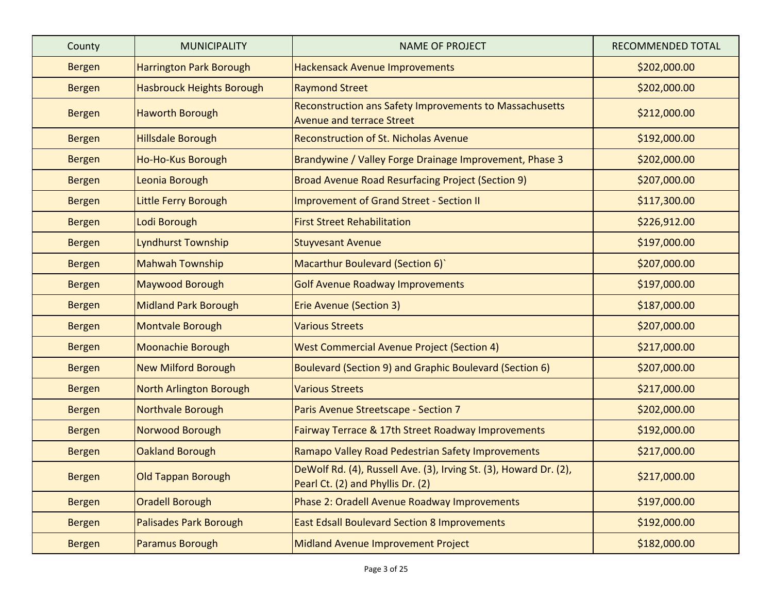| County        | <b>MUNICIPALITY</b>              | <b>NAME OF PROJECT</b>                                                                                 | <b>RECOMMENDED TOTAL</b> |
|---------------|----------------------------------|--------------------------------------------------------------------------------------------------------|--------------------------|
| <b>Bergen</b> | <b>Harrington Park Borough</b>   | <b>Hackensack Avenue Improvements</b>                                                                  | \$202,000.00             |
| <b>Bergen</b> | <b>Hasbrouck Heights Borough</b> | <b>Raymond Street</b>                                                                                  | \$202,000.00             |
| <b>Bergen</b> | <b>Haworth Borough</b>           | <b>Reconstruction ans Safety Improvements to Massachusetts</b><br><b>Avenue and terrace Street</b>     | \$212,000.00             |
| <b>Bergen</b> | <b>Hillsdale Borough</b>         | <b>Reconstruction of St. Nicholas Avenue</b>                                                           | \$192,000.00             |
| <b>Bergen</b> | Ho-Ho-Kus Borough                | Brandywine / Valley Forge Drainage Improvement, Phase 3                                                | \$202,000.00             |
| <b>Bergen</b> | Leonia Borough                   | Broad Avenue Road Resurfacing Project (Section 9)                                                      | \$207,000.00             |
| <b>Bergen</b> | Little Ferry Borough             | <b>Improvement of Grand Street - Section II</b>                                                        | \$117,300.00             |
| <b>Bergen</b> | Lodi Borough                     | <b>First Street Rehabilitation</b>                                                                     | \$226,912.00             |
| <b>Bergen</b> | <b>Lyndhurst Township</b>        | <b>Stuyvesant Avenue</b>                                                                               | \$197,000.00             |
| <b>Bergen</b> | <b>Mahwah Township</b>           | Macarthur Boulevard (Section 6)                                                                        | \$207,000.00             |
| <b>Bergen</b> | Maywood Borough                  | <b>Golf Avenue Roadway Improvements</b>                                                                | \$197,000.00             |
| <b>Bergen</b> | <b>Midland Park Borough</b>      | <b>Erie Avenue (Section 3)</b>                                                                         | \$187,000.00             |
| <b>Bergen</b> | Montvale Borough                 | <b>Various Streets</b>                                                                                 | \$207,000.00             |
| <b>Bergen</b> | Moonachie Borough                | <b>West Commercial Avenue Project (Section 4)</b>                                                      | \$217,000.00             |
| <b>Bergen</b> | <b>New Milford Borough</b>       | Boulevard (Section 9) and Graphic Boulevard (Section 6)                                                | \$207,000.00             |
| <b>Bergen</b> | North Arlington Borough          | <b>Various Streets</b>                                                                                 | \$217,000.00             |
| <b>Bergen</b> | Northvale Borough                | Paris Avenue Streetscape - Section 7                                                                   | \$202,000.00             |
| <b>Bergen</b> | Norwood Borough                  | Fairway Terrace & 17th Street Roadway Improvements                                                     | \$192,000.00             |
| <b>Bergen</b> | Oakland Borough                  | Ramapo Valley Road Pedestrian Safety Improvements                                                      | \$217,000.00             |
| <b>Bergen</b> | <b>Old Tappan Borough</b>        | DeWolf Rd. (4), Russell Ave. (3), Irving St. (3), Howard Dr. (2),<br>Pearl Ct. (2) and Phyllis Dr. (2) | \$217,000.00             |
| <b>Bergen</b> | Oradell Borough                  | Phase 2: Oradell Avenue Roadway Improvements                                                           | \$197,000.00             |
| <b>Bergen</b> | Palisades Park Borough           | <b>East Edsall Boulevard Section 8 Improvements</b>                                                    | \$192,000.00             |
| <b>Bergen</b> | <b>Paramus Borough</b>           | Midland Avenue Improvement Project                                                                     | \$182,000.00             |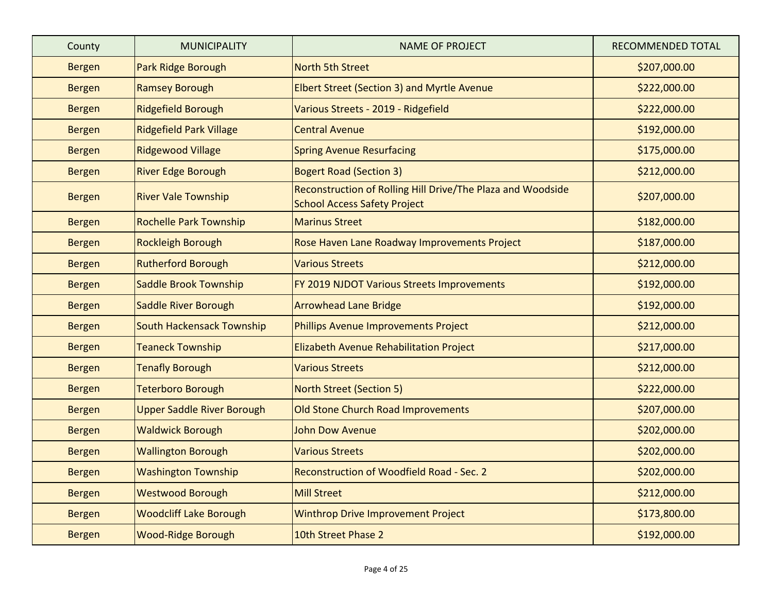| County        | <b>MUNICIPALITY</b>               | <b>NAME OF PROJECT</b>                                                                             | <b>RECOMMENDED TOTAL</b> |
|---------------|-----------------------------------|----------------------------------------------------------------------------------------------------|--------------------------|
| <b>Bergen</b> | Park Ridge Borough                | <b>North 5th Street</b>                                                                            | \$207,000.00             |
| <b>Bergen</b> | <b>Ramsey Borough</b>             | Elbert Street (Section 3) and Myrtle Avenue                                                        | \$222,000.00             |
| <b>Bergen</b> | <b>Ridgefield Borough</b>         | Various Streets - 2019 - Ridgefield                                                                | \$222,000.00             |
| <b>Bergen</b> | <b>Ridgefield Park Village</b>    | <b>Central Avenue</b>                                                                              | \$192,000.00             |
| <b>Bergen</b> | <b>Ridgewood Village</b>          | <b>Spring Avenue Resurfacing</b>                                                                   | \$175,000.00             |
| <b>Bergen</b> | <b>River Edge Borough</b>         | <b>Bogert Road (Section 3)</b>                                                                     | \$212,000.00             |
| <b>Bergen</b> | <b>River Vale Township</b>        | Reconstruction of Rolling Hill Drive/The Plaza and Woodside<br><b>School Access Safety Project</b> | \$207,000.00             |
| <b>Bergen</b> | <b>Rochelle Park Township</b>     | <b>Marinus Street</b>                                                                              | \$182,000.00             |
| <b>Bergen</b> | <b>Rockleigh Borough</b>          | Rose Haven Lane Roadway Improvements Project                                                       | \$187,000.00             |
| <b>Bergen</b> | <b>Rutherford Borough</b>         | <b>Various Streets</b>                                                                             | \$212,000.00             |
| <b>Bergen</b> | Saddle Brook Township             | FY 2019 NJDOT Various Streets Improvements                                                         | \$192,000.00             |
| <b>Bergen</b> | Saddle River Borough              | <b>Arrowhead Lane Bridge</b>                                                                       | \$192,000.00             |
| <b>Bergen</b> | <b>South Hackensack Township</b>  | Phillips Avenue Improvements Project                                                               | \$212,000.00             |
| <b>Bergen</b> | <b>Teaneck Township</b>           | <b>Elizabeth Avenue Rehabilitation Project</b>                                                     | \$217,000.00             |
| <b>Bergen</b> | <b>Tenafly Borough</b>            | <b>Various Streets</b>                                                                             | \$212,000.00             |
| <b>Bergen</b> | <b>Teterboro Borough</b>          | <b>North Street (Section 5)</b>                                                                    | \$222,000.00             |
| <b>Bergen</b> | <b>Upper Saddle River Borough</b> | Old Stone Church Road Improvements                                                                 | \$207,000.00             |
| <b>Bergen</b> | <b>Waldwick Borough</b>           | <b>John Dow Avenue</b>                                                                             | \$202,000.00             |
| <b>Bergen</b> | <b>Wallington Borough</b>         | <b>Various Streets</b>                                                                             | \$202,000.00             |
| <b>Bergen</b> | <b>Washington Township</b>        | Reconstruction of Woodfield Road - Sec. 2                                                          | \$202,000.00             |
| <b>Bergen</b> | <b>Westwood Borough</b>           | <b>Mill Street</b>                                                                                 | \$212,000.00             |
| <b>Bergen</b> | <b>Woodcliff Lake Borough</b>     | <b>Winthrop Drive Improvement Project</b>                                                          | \$173,800.00             |
| <b>Bergen</b> | <b>Wood-Ridge Borough</b>         | 10th Street Phase 2                                                                                | \$192,000.00             |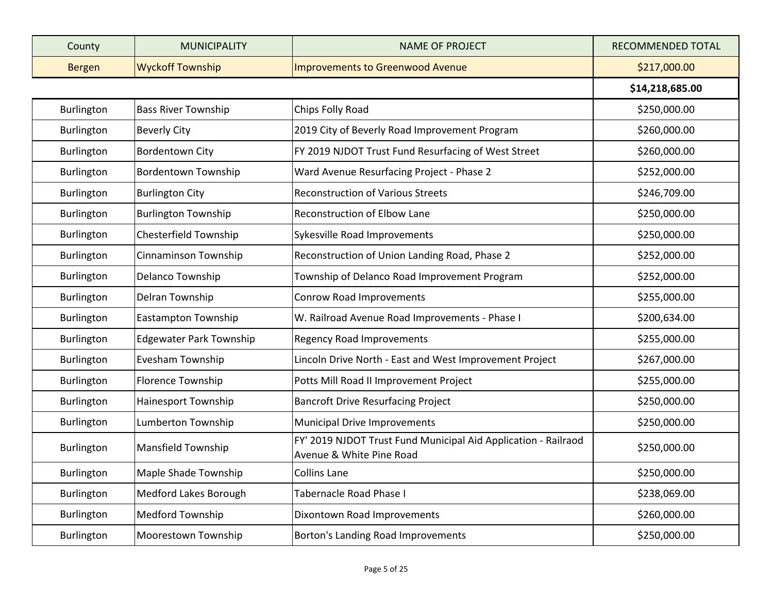| County        | <b>MUNICIPALITY</b>            | <b>NAME OF PROJECT</b>                                                                     | RECOMMENDED TOTAL |
|---------------|--------------------------------|--------------------------------------------------------------------------------------------|-------------------|
| <b>Bergen</b> | <b>Wyckoff Township</b>        | <b>Improvements to Greenwood Avenue</b>                                                    | \$217,000.00      |
|               |                                |                                                                                            | \$14,218,685.00   |
| Burlington    | <b>Bass River Township</b>     | Chips Folly Road                                                                           | \$250,000.00      |
| Burlington    | <b>Beverly City</b>            | 2019 City of Beverly Road Improvement Program                                              | \$260,000.00      |
| Burlington    | <b>Bordentown City</b>         | FY 2019 NJDOT Trust Fund Resurfacing of West Street                                        | \$260,000.00      |
| Burlington    | <b>Bordentown Township</b>     | Ward Avenue Resurfacing Project - Phase 2                                                  | \$252,000.00      |
| Burlington    | <b>Burlington City</b>         | <b>Reconstruction of Various Streets</b>                                                   | \$246,709.00      |
| Burlington    | <b>Burlington Township</b>     | Reconstruction of Elbow Lane                                                               | \$250,000.00      |
| Burlington    | Chesterfield Township          | Sykesville Road Improvements                                                               | \$250,000.00      |
| Burlington    | Cinnaminson Township           | Reconstruction of Union Landing Road, Phase 2                                              | \$252,000.00      |
| Burlington    | Delanco Township               | Township of Delanco Road Improvement Program                                               | \$252,000.00      |
| Burlington    | Delran Township                | Conrow Road Improvements                                                                   | \$255,000.00      |
| Burlington    | <b>Eastampton Township</b>     | W. Railroad Avenue Road Improvements - Phase I                                             | \$200,634.00      |
| Burlington    | <b>Edgewater Park Township</b> | <b>Regency Road Improvements</b>                                                           | \$255,000.00      |
| Burlington    | Evesham Township               | Lincoln Drive North - East and West Improvement Project                                    | \$267,000.00      |
| Burlington    | Florence Township              | Potts Mill Road II Improvement Project                                                     | \$255,000.00      |
| Burlington    | Hainesport Township            | <b>Bancroft Drive Resurfacing Project</b>                                                  | \$250,000.00      |
| Burlington    | Lumberton Township             | <b>Municipal Drive Improvements</b>                                                        | \$250,000.00      |
| Burlington    | Mansfield Township             | FY' 2019 NJDOT Trust Fund Municipal Aid Application - Railraod<br>Avenue & White Pine Road | \$250,000.00      |
| Burlington    | Maple Shade Township           | Collins Lane                                                                               | \$250,000.00      |
| Burlington    | Medford Lakes Borough          | Tabernacle Road Phase I                                                                    | \$238,069.00      |
| Burlington    | Medford Township               | Dixontown Road Improvements                                                                | \$260,000.00      |
| Burlington    | Moorestown Township            | Borton's Landing Road Improvements                                                         | \$250,000.00      |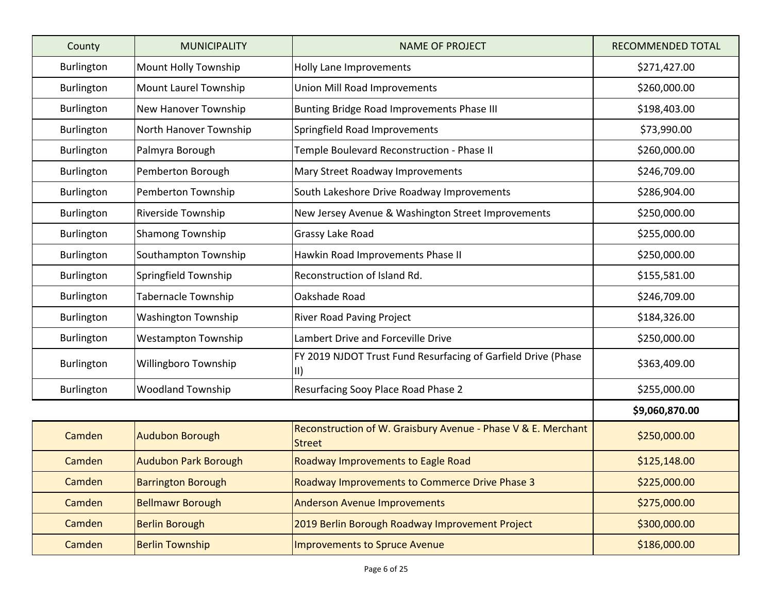| County            | <b>MUNICIPALITY</b>         | <b>NAME OF PROJECT</b>                                                         | <b>RECOMMENDED TOTAL</b> |
|-------------------|-----------------------------|--------------------------------------------------------------------------------|--------------------------|
| Burlington        | Mount Holly Township        | Holly Lane Improvements                                                        | \$271,427.00             |
| Burlington        | Mount Laurel Township       | Union Mill Road Improvements                                                   | \$260,000.00             |
| Burlington        | New Hanover Township        | Bunting Bridge Road Improvements Phase III                                     | \$198,403.00             |
| Burlington        | North Hanover Township      | Springfield Road Improvements                                                  | \$73,990.00              |
| Burlington        | Palmyra Borough             | Temple Boulevard Reconstruction - Phase II                                     | \$260,000.00             |
| Burlington        | Pemberton Borough           | Mary Street Roadway Improvements                                               | \$246,709.00             |
| <b>Burlington</b> | Pemberton Township          | South Lakeshore Drive Roadway Improvements                                     | \$286,904.00             |
| Burlington        | Riverside Township          | New Jersey Avenue & Washington Street Improvements                             | \$250,000.00             |
| Burlington        | <b>Shamong Township</b>     | Grassy Lake Road                                                               | \$255,000.00             |
| Burlington        | Southampton Township        | Hawkin Road Improvements Phase II                                              | \$250,000.00             |
| Burlington        | Springfield Township        | Reconstruction of Island Rd.                                                   | \$155,581.00             |
| <b>Burlington</b> | <b>Tabernacle Township</b>  | Oakshade Road                                                                  | \$246,709.00             |
| Burlington        | <b>Washington Township</b>  | <b>River Road Paving Project</b>                                               | \$184,326.00             |
| Burlington        | <b>Westampton Township</b>  | Lambert Drive and Forceville Drive                                             | \$250,000.00             |
| Burlington        | Willingboro Township        | FY 2019 NJDOT Trust Fund Resurfacing of Garfield Drive (Phase<br>$\parallel$   | \$363,409.00             |
| Burlington        | <b>Woodland Township</b>    | Resurfacing Sooy Place Road Phase 2                                            | \$255,000.00             |
|                   |                             |                                                                                | \$9,060,870.00           |
| Camden            | <b>Audubon Borough</b>      | Reconstruction of W. Graisbury Avenue - Phase V & E. Merchant<br><b>Street</b> | \$250,000.00             |
| Camden            | <b>Audubon Park Borough</b> | Roadway Improvements to Eagle Road                                             | \$125,148.00             |
| Camden            | <b>Barrington Borough</b>   | Roadway Improvements to Commerce Drive Phase 3                                 | \$225,000.00             |
| Camden            | <b>Bellmawr Borough</b>     | <b>Anderson Avenue Improvements</b>                                            | \$275,000.00             |
| Camden            | <b>Berlin Borough</b>       | 2019 Berlin Borough Roadway Improvement Project                                | \$300,000.00             |
| Camden            | <b>Berlin Township</b>      | <b>Improvements to Spruce Avenue</b>                                           | \$186,000.00             |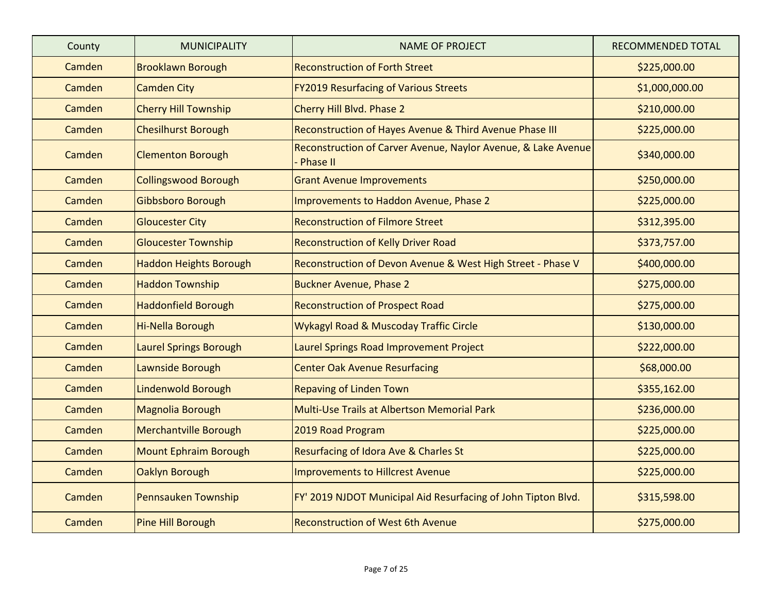| County | <b>MUNICIPALITY</b>           | <b>NAME OF PROJECT</b>                                                           | <b>RECOMMENDED TOTAL</b> |
|--------|-------------------------------|----------------------------------------------------------------------------------|--------------------------|
| Camden | <b>Brooklawn Borough</b>      | <b>Reconstruction of Forth Street</b>                                            | \$225,000.00             |
| Camden | <b>Camden City</b>            | <b>FY2019 Resurfacing of Various Streets</b>                                     | \$1,000,000.00           |
| Camden | <b>Cherry Hill Township</b>   | Cherry Hill Blvd. Phase 2                                                        | \$210,000.00             |
| Camden | <b>Chesilhurst Borough</b>    | Reconstruction of Hayes Avenue & Third Avenue Phase III                          | \$225,000.00             |
| Camden | <b>Clementon Borough</b>      | Reconstruction of Carver Avenue, Naylor Avenue, & Lake Avenue<br><b>Phase II</b> | \$340,000.00             |
| Camden | <b>Collingswood Borough</b>   | <b>Grant Avenue Improvements</b>                                                 | \$250,000.00             |
| Camden | Gibbsboro Borough             | Improvements to Haddon Avenue, Phase 2                                           | \$225,000.00             |
| Camden | <b>Gloucester City</b>        | <b>Reconstruction of Filmore Street</b>                                          | \$312,395.00             |
| Camden | <b>Gloucester Township</b>    | <b>Reconstruction of Kelly Driver Road</b>                                       | \$373,757.00             |
| Camden | <b>Haddon Heights Borough</b> | Reconstruction of Devon Avenue & West High Street - Phase V                      | \$400,000.00             |
| Camden | <b>Haddon Township</b>        | <b>Buckner Avenue, Phase 2</b>                                                   | \$275,000.00             |
| Camden | <b>Haddonfield Borough</b>    | <b>Reconstruction of Prospect Road</b>                                           | \$275,000.00             |
| Camden | Hi-Nella Borough              | <b>Wykagyl Road &amp; Muscoday Traffic Circle</b>                                | \$130,000.00             |
| Camden | <b>Laurel Springs Borough</b> | Laurel Springs Road Improvement Project                                          | \$222,000.00             |
| Camden | Lawnside Borough              | <b>Center Oak Avenue Resurfacing</b>                                             | \$68,000.00              |
| Camden | <b>Lindenwold Borough</b>     | <b>Repaving of Linden Town</b>                                                   | \$355,162.00             |
| Camden | Magnolia Borough              | Multi-Use Trails at Albertson Memorial Park                                      | \$236,000.00             |
| Camden | <b>Merchantville Borough</b>  | 2019 Road Program                                                                | \$225,000.00             |
| Camden | <b>Mount Ephraim Borough</b>  | Resurfacing of Idora Ave & Charles St                                            | \$225,000.00             |
| Camden | Oaklyn Borough                | <b>Improvements to Hillcrest Avenue</b>                                          | \$225,000.00             |
| Camden | Pennsauken Township           | FY' 2019 NJDOT Municipal Aid Resurfacing of John Tipton Blvd.                    | \$315,598.00             |
| Camden | Pine Hill Borough             | <b>Reconstruction of West 6th Avenue</b>                                         | \$275,000.00             |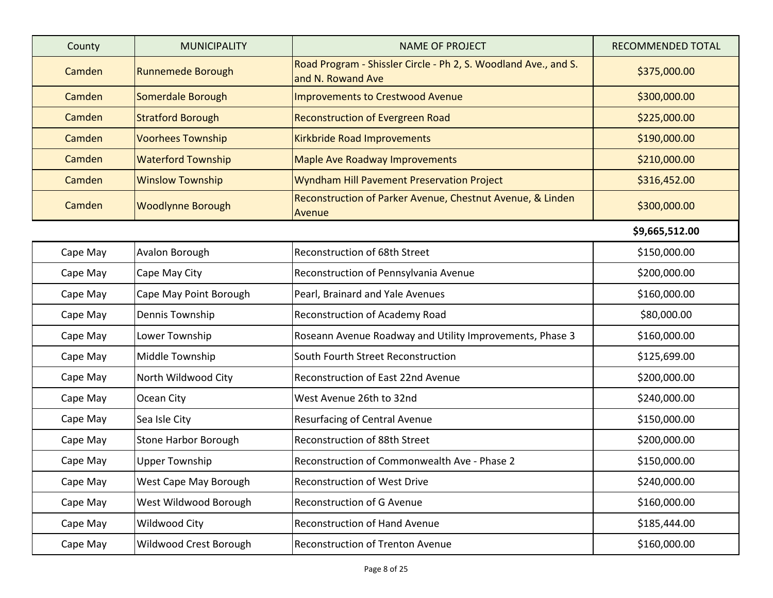| County   | <b>MUNICIPALITY</b>         | <b>NAME OF PROJECT</b>                                                               | <b>RECOMMENDED TOTAL</b> |
|----------|-----------------------------|--------------------------------------------------------------------------------------|--------------------------|
| Camden   | <b>Runnemede Borough</b>    | Road Program - Shissler Circle - Ph 2, S. Woodland Ave., and S.<br>and N. Rowand Ave | \$375,000.00             |
| Camden   | Somerdale Borough           | <b>Improvements to Crestwood Avenue</b>                                              | \$300,000.00             |
| Camden   | <b>Stratford Borough</b>    | <b>Reconstruction of Evergreen Road</b>                                              | \$225,000.00             |
| Camden   | <b>Voorhees Township</b>    | Kirkbride Road Improvements                                                          | \$190,000.00             |
| Camden   | <b>Waterford Township</b>   | <b>Maple Ave Roadway Improvements</b>                                                | \$210,000.00             |
| Camden   | <b>Winslow Township</b>     | Wyndham Hill Pavement Preservation Project                                           | \$316,452.00             |
| Camden   | <b>Woodlynne Borough</b>    | Reconstruction of Parker Avenue, Chestnut Avenue, & Linden<br>Avenue                 | \$300,000.00             |
|          |                             |                                                                                      | \$9,665,512.00           |
| Cape May | Avalon Borough              | Reconstruction of 68th Street                                                        | \$150,000.00             |
| Cape May | Cape May City               | Reconstruction of Pennsylvania Avenue                                                | \$200,000.00             |
| Cape May | Cape May Point Borough      | Pearl, Brainard and Yale Avenues                                                     | \$160,000.00             |
| Cape May | Dennis Township             | Reconstruction of Academy Road                                                       | \$80,000.00              |
| Cape May | Lower Township              | Roseann Avenue Roadway and Utility Improvements, Phase 3                             | \$160,000.00             |
| Cape May | Middle Township             | South Fourth Street Reconstruction                                                   | \$125,699.00             |
| Cape May | North Wildwood City         | Reconstruction of East 22nd Avenue                                                   | \$200,000.00             |
| Cape May | Ocean City                  | West Avenue 26th to 32nd                                                             | \$240,000.00             |
| Cape May | Sea Isle City               | Resurfacing of Central Avenue                                                        | \$150,000.00             |
| Cape May | <b>Stone Harbor Borough</b> | Reconstruction of 88th Street                                                        | \$200,000.00             |
| Cape May | <b>Upper Township</b>       | Reconstruction of Commonwealth Ave - Phase 2                                         | \$150,000.00             |
| Cape May | West Cape May Borough       | <b>Reconstruction of West Drive</b>                                                  | \$240,000.00             |
| Cape May | West Wildwood Borough       | Reconstruction of G Avenue                                                           | \$160,000.00             |
| Cape May | Wildwood City               | <b>Reconstruction of Hand Avenue</b>                                                 | \$185,444.00             |
| Cape May | Wildwood Crest Borough      | Reconstruction of Trenton Avenue                                                     | \$160,000.00             |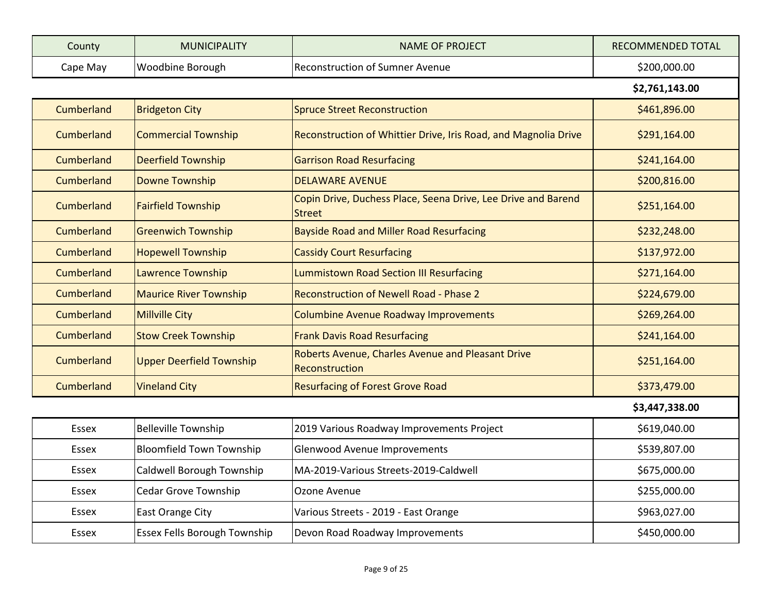| County   | <b>MUNICIPALITY</b> | <b>NAME OF PROJECT</b>                  | RECOMMENDED TOTAL |
|----------|---------------------|-----------------------------------------|-------------------|
| Cape May | Woodbine Borough    | <b>IReconstruction of Sumner Avenue</b> | \$200,000.00      |

**\$2,761,143.00** 

| Cumberland   | <b>Bridgeton City</b>               | <b>Spruce Street Reconstruction</b>                                            | \$461,896.00   |
|--------------|-------------------------------------|--------------------------------------------------------------------------------|----------------|
| Cumberland   | <b>Commercial Township</b>          | Reconstruction of Whittier Drive, Iris Road, and Magnolia Drive                | \$291,164.00   |
| Cumberland   | <b>Deerfield Township</b>           | <b>Garrison Road Resurfacing</b>                                               | \$241,164.00   |
| Cumberland   | <b>Downe Township</b>               | <b>DELAWARE AVENUE</b>                                                         | \$200,816.00   |
| Cumberland   | <b>Fairfield Township</b>           | Copin Drive, Duchess Place, Seena Drive, Lee Drive and Barend<br><b>Street</b> | \$251,164.00   |
| Cumberland   | <b>Greenwich Township</b>           | <b>Bayside Road and Miller Road Resurfacing</b>                                | \$232,248.00   |
| Cumberland   | <b>Hopewell Township</b>            | <b>Cassidy Court Resurfacing</b>                                               | \$137,972.00   |
| Cumberland   | Lawrence Township                   | <b>Lummistown Road Section III Resurfacing</b>                                 | \$271,164.00   |
| Cumberland   | <b>Maurice River Township</b>       | <b>Reconstruction of Newell Road - Phase 2</b>                                 | \$224,679.00   |
| Cumberland   | <b>Millville City</b>               | Columbine Avenue Roadway Improvements                                          | \$269,264.00   |
| Cumberland   | <b>Stow Creek Township</b>          | <b>Frank Davis Road Resurfacing</b>                                            | \$241,164.00   |
| Cumberland   | <b>Upper Deerfield Township</b>     | Roberts Avenue, Charles Avenue and Pleasant Drive<br>Reconstruction            | \$251,164.00   |
| Cumberland   | <b>Vineland City</b>                | <b>Resurfacing of Forest Grove Road</b>                                        | \$373,479.00   |
|              |                                     |                                                                                | \$3,447,338.00 |
| <b>Essex</b> | <b>Belleville Township</b>          | 2019 Various Roadway Improvements Project                                      | \$619,040.00   |
| <b>Essex</b> | <b>Bloomfield Town Township</b>     | Glenwood Avenue Improvements                                                   | \$539,807.00   |
| <b>Essex</b> | Caldwell Borough Township           | MA-2019-Various Streets-2019-Caldwell                                          | \$675,000.00   |
| <b>Essex</b> | <b>Cedar Grove Township</b>         | Ozone Avenue                                                                   | \$255,000.00   |
| <b>Essex</b> | East Orange City                    | Various Streets - 2019 - East Orange                                           | \$963,027.00   |
| <b>Essex</b> | <b>Essex Fells Borough Township</b> | Devon Road Roadway Improvements                                                | \$450,000.00   |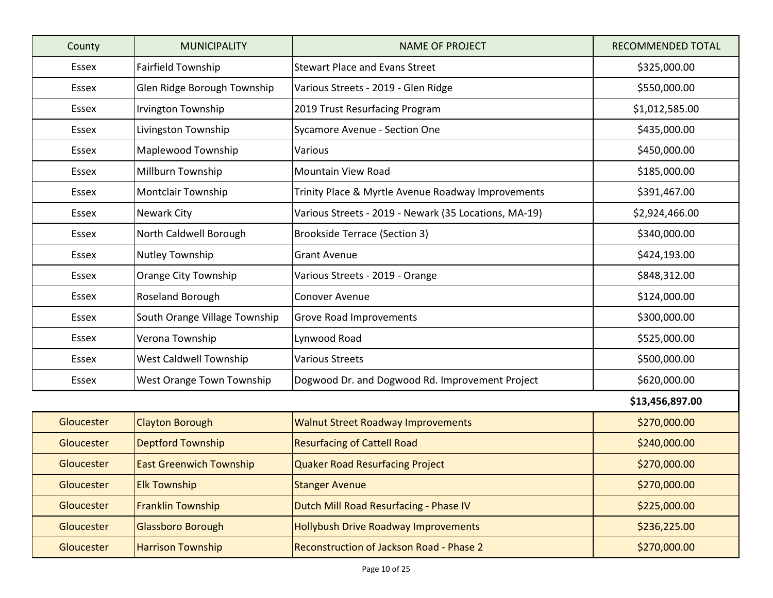| County       | <b>MUNICIPALITY</b>            | <b>NAME OF PROJECT</b>                                | <b>RECOMMENDED TOTAL</b> |
|--------------|--------------------------------|-------------------------------------------------------|--------------------------|
| Essex        | <b>Fairfield Township</b>      | <b>Stewart Place and Evans Street</b>                 | \$325,000.00             |
| <b>Essex</b> | Glen Ridge Borough Township    | Various Streets - 2019 - Glen Ridge                   | \$550,000.00             |
| Essex        | Irvington Township             | 2019 Trust Resurfacing Program                        | \$1,012,585.00           |
| <b>Essex</b> | Livingston Township            | Sycamore Avenue - Section One                         | \$435,000.00             |
| Essex        | Maplewood Township             | Various                                               | \$450,000.00             |
| Essex        | Millburn Township              | <b>Mountain View Road</b>                             | \$185,000.00             |
| Essex        | <b>Montclair Township</b>      | Trinity Place & Myrtle Avenue Roadway Improvements    | \$391,467.00             |
| <b>Essex</b> | <b>Newark City</b>             | Various Streets - 2019 - Newark (35 Locations, MA-19) | \$2,924,466.00           |
| Essex        | North Caldwell Borough         | <b>Brookside Terrace (Section 3)</b>                  | \$340,000.00             |
| Essex        | Nutley Township                | <b>Grant Avenue</b>                                   | \$424,193.00             |
| Essex        | Orange City Township           | Various Streets - 2019 - Orange                       | \$848,312.00             |
| Essex        | Roseland Borough               | <b>Conover Avenue</b>                                 | \$124,000.00             |
| Essex        | South Orange Village Township  | <b>Grove Road Improvements</b>                        | \$300,000.00             |
| Essex        | Verona Township                | Lynwood Road                                          | \$525,000.00             |
| Essex        | West Caldwell Township         | <b>Various Streets</b>                                | \$500,000.00             |
| <b>Essex</b> | West Orange Town Township      | Dogwood Dr. and Dogwood Rd. Improvement Project       | \$620,000.00             |
|              |                                |                                                       | \$13,456,897.00          |
| Gloucester   | <b>Clayton Borough</b>         | <b>Walnut Street Roadway Improvements</b>             | \$270,000.00             |
| Gloucester   | <b>Deptford Township</b>       | <b>Resurfacing of Cattell Road</b>                    | \$240,000.00             |
| Gloucester   | <b>East Greenwich Township</b> | Quaker Road Resurfacing Project                       | \$270,000.00             |
| Gloucester   | <b>Elk Township</b>            | <b>Stanger Avenue</b>                                 | \$270,000.00             |
| Gloucester   | <b>Franklin Township</b>       | Dutch Mill Road Resurfacing - Phase IV                | \$225,000.00             |
| Gloucester   | Glassboro Borough              | <b>Hollybush Drive Roadway Improvements</b>           | \$236,225.00             |
| Gloucester   | <b>Harrison Township</b>       | Reconstruction of Jackson Road - Phase 2              | \$270,000.00             |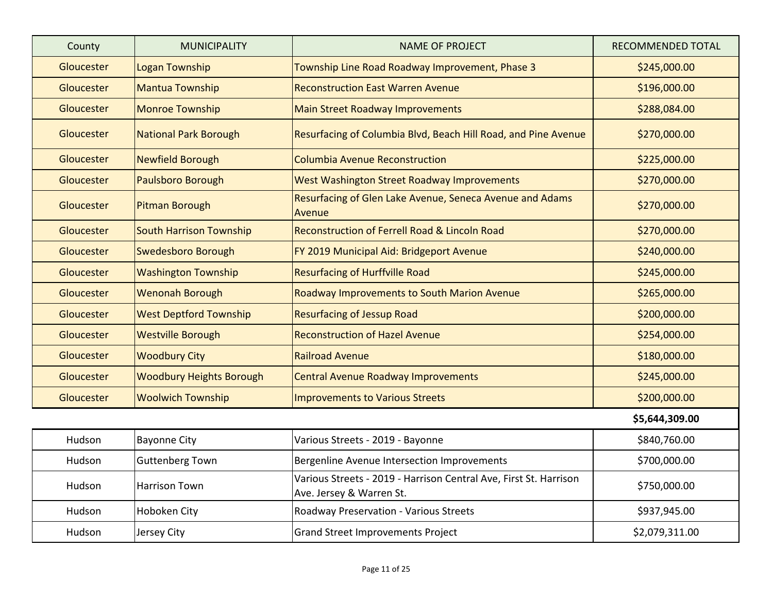| County     | <b>MUNICIPALITY</b>             | <b>NAME OF PROJECT</b>                                                                        | RECOMMENDED TOTAL |
|------------|---------------------------------|-----------------------------------------------------------------------------------------------|-------------------|
| Gloucester | <b>Logan Township</b>           | Township Line Road Roadway Improvement, Phase 3                                               | \$245,000.00      |
| Gloucester | Mantua Township                 | <b>Reconstruction East Warren Avenue</b>                                                      | \$196,000.00      |
| Gloucester | Monroe Township                 | <b>Main Street Roadway Improvements</b>                                                       | \$288,084.00      |
| Gloucester | National Park Borough           | Resurfacing of Columbia Blvd, Beach Hill Road, and Pine Avenue                                | \$270,000.00      |
| Gloucester | <b>Newfield Borough</b>         | <b>Columbia Avenue Reconstruction</b>                                                         | \$225,000.00      |
| Gloucester | Paulsboro Borough               | <b>West Washington Street Roadway Improvements</b>                                            | \$270,000.00      |
| Gloucester | Pitman Borough                  | Resurfacing of Glen Lake Avenue, Seneca Avenue and Adams<br>Avenue                            | \$270,000.00      |
| Gloucester | <b>South Harrison Township</b>  | Reconstruction of Ferrell Road & Lincoln Road                                                 | \$270,000.00      |
| Gloucester | <b>Swedesboro Borough</b>       | FY 2019 Municipal Aid: Bridgeport Avenue                                                      | \$240,000.00      |
| Gloucester | <b>Washington Township</b>      | <b>Resurfacing of Hurffville Road</b>                                                         | \$245,000.00      |
| Gloucester | <b>Wenonah Borough</b>          | Roadway Improvements to South Marion Avenue                                                   | \$265,000.00      |
| Gloucester | <b>West Deptford Township</b>   | <b>Resurfacing of Jessup Road</b>                                                             | \$200,000.00      |
| Gloucester | <b>Westville Borough</b>        | <b>Reconstruction of Hazel Avenue</b>                                                         | \$254,000.00      |
| Gloucester | <b>Woodbury City</b>            | <b>Railroad Avenue</b>                                                                        | \$180,000.00      |
| Gloucester | <b>Woodbury Heights Borough</b> | <b>Central Avenue Roadway Improvements</b>                                                    | \$245,000.00      |
| Gloucester | <b>Woolwich Township</b>        | <b>Improvements to Various Streets</b>                                                        | \$200,000.00      |
|            |                                 |                                                                                               | \$5,644,309.00    |
| Hudson     | <b>Bayonne City</b>             | Various Streets - 2019 - Bayonne                                                              | \$840,760.00      |
| Hudson     | <b>Guttenberg Town</b>          | Bergenline Avenue Intersection Improvements                                                   | \$700,000.00      |
| Hudson     | <b>Harrison Town</b>            | Various Streets - 2019 - Harrison Central Ave, First St. Harrison<br>Ave. Jersey & Warren St. | \$750,000.00      |
| Hudson     | Hoboken City                    | Roadway Preservation - Various Streets                                                        | \$937,945.00      |
| Hudson     | Jersey City                     | <b>Grand Street Improvements Project</b>                                                      | \$2,079,311.00    |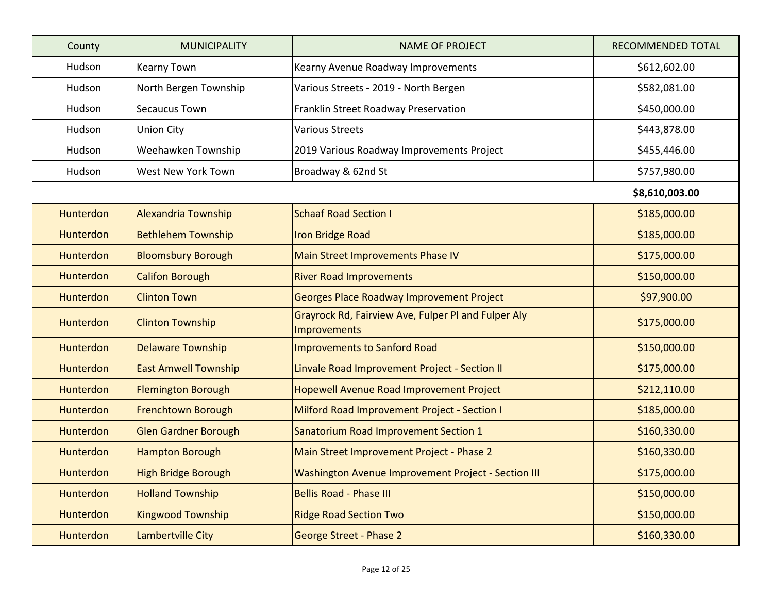| County           | <b>MUNICIPALITY</b>         | <b>NAME OF PROJECT</b>                                                     | RECOMMENDED TOTAL |
|------------------|-----------------------------|----------------------------------------------------------------------------|-------------------|
| Hudson           | <b>Kearny Town</b>          | Kearny Avenue Roadway Improvements                                         | \$612,602.00      |
| Hudson           | North Bergen Township       | Various Streets - 2019 - North Bergen                                      | \$582,081.00      |
| Hudson           | <b>Secaucus Town</b>        | Franklin Street Roadway Preservation                                       | \$450,000.00      |
| Hudson           | <b>Union City</b>           | <b>Various Streets</b>                                                     | \$443,878.00      |
| Hudson           | Weehawken Township          | 2019 Various Roadway Improvements Project                                  | \$455,446.00      |
| Hudson           | West New York Town          | Broadway & 62nd St                                                         | \$757,980.00      |
|                  |                             |                                                                            | \$8,610,003.00    |
| <b>Hunterdon</b> | <b>Alexandria Township</b>  | <b>Schaaf Road Section I</b>                                               | \$185,000.00      |
| Hunterdon        | <b>Bethlehem Township</b>   | <b>Iron Bridge Road</b>                                                    | \$185,000.00      |
| <b>Hunterdon</b> | <b>Bloomsbury Borough</b>   | Main Street Improvements Phase IV                                          | \$175,000.00      |
| Hunterdon        | <b>Califon Borough</b>      | <b>River Road Improvements</b>                                             | \$150,000.00      |
| Hunterdon        | <b>Clinton Town</b>         | Georges Place Roadway Improvement Project                                  | \$97,900.00       |
| Hunterdon        | <b>Clinton Township</b>     | Grayrock Rd, Fairview Ave, Fulper Pl and Fulper Aly<br><b>Improvements</b> | \$175,000.00      |
| <b>Hunterdon</b> | <b>Delaware Township</b>    | Improvements to Sanford Road                                               | \$150,000.00      |
| Hunterdon        | <b>East Amwell Township</b> | Linvale Road Improvement Project - Section II                              | \$175,000.00      |
| Hunterdon        | <b>Flemington Borough</b>   | Hopewell Avenue Road Improvement Project                                   | \$212,110.00      |
| Hunterdon        | <b>Frenchtown Borough</b>   | Milford Road Improvement Project - Section I                               | \$185,000.00      |
| Hunterdon        | <b>Glen Gardner Borough</b> | Sanatorium Road Improvement Section 1                                      | \$160,330.00      |
| <b>Hunterdon</b> | <b>Hampton Borough</b>      | Main Street Improvement Project - Phase 2                                  | \$160,330.00      |
| Hunterdon        | <b>High Bridge Borough</b>  | Washington Avenue Improvement Project - Section III                        | \$175,000.00      |
| Hunterdon        | <b>Holland Township</b>     | <b>Bellis Road - Phase III</b>                                             | \$150,000.00      |
| Hunterdon        | <b>Kingwood Township</b>    | <b>Ridge Road Section Two</b>                                              | \$150,000.00      |
| Hunterdon        | Lambertville City           | <b>George Street - Phase 2</b>                                             | \$160,330.00      |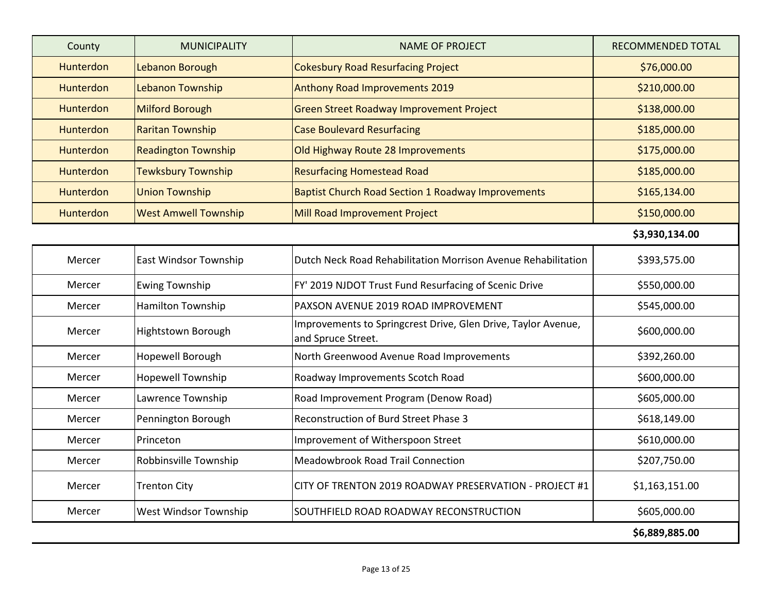| County           | <b>MUNICIPALITY</b>         | <b>NAME OF PROJECT</b>                                                              | <b>RECOMMENDED TOTAL</b> |
|------------------|-----------------------------|-------------------------------------------------------------------------------------|--------------------------|
| <b>Hunterdon</b> | Lebanon Borough             | <b>Cokesbury Road Resurfacing Project</b>                                           | \$76,000.00              |
| Hunterdon        | Lebanon Township            | <b>Anthony Road Improvements 2019</b>                                               | \$210,000.00             |
| <b>Hunterdon</b> | <b>Milford Borough</b>      | <b>Green Street Roadway Improvement Project</b>                                     | \$138,000.00             |
| <b>Hunterdon</b> | <b>Raritan Township</b>     | <b>Case Boulevard Resurfacing</b>                                                   | \$185,000.00             |
| <b>Hunterdon</b> | <b>Readington Township</b>  | Old Highway Route 28 Improvements                                                   | \$175,000.00             |
| <b>Hunterdon</b> | Tewksbury Township          | <b>Resurfacing Homestead Road</b>                                                   | \$185,000.00             |
| Hunterdon        | <b>Union Township</b>       | <b>Baptist Church Road Section 1 Roadway Improvements</b>                           | \$165,134.00             |
| <b>Hunterdon</b> | <b>West Amwell Township</b> | Mill Road Improvement Project                                                       | \$150,000.00             |
|                  |                             |                                                                                     | \$3,930,134.00           |
| Mercer           | East Windsor Township       | Dutch Neck Road Rehabilitation Morrison Avenue Rehabilitation                       | \$393,575.00             |
| Mercer           | <b>Ewing Township</b>       | FY' 2019 NJDOT Trust Fund Resurfacing of Scenic Drive                               | \$550,000.00             |
| Mercer           | Hamilton Township           | PAXSON AVENUE 2019 ROAD IMPROVEMENT                                                 | \$545,000.00             |
| Mercer           | <b>Hightstown Borough</b>   | Improvements to Springcrest Drive, Glen Drive, Taylor Avenue,<br>and Spruce Street. | \$600,000.00             |
| Mercer           | Hopewell Borough            | North Greenwood Avenue Road Improvements                                            | \$392,260.00             |
| Mercer           | <b>Hopewell Township</b>    | Roadway Improvements Scotch Road                                                    | \$600,000.00             |
| Mercer           | Lawrence Township           | Road Improvement Program (Denow Road)                                               | \$605,000.00             |
| Mercer           | Pennington Borough          | Reconstruction of Burd Street Phase 3                                               | \$618,149.00             |
| Mercer           | Princeton                   | Improvement of Witherspoon Street                                                   | \$610,000.00             |
| Mercer           | Robbinsville Township       | Meadowbrook Road Trail Connection                                                   | \$207,750.00             |
| Mercer           | <b>Trenton City</b>         | CITY OF TRENTON 2019 ROADWAY PRESERVATION - PROJECT #1                              | \$1,163,151.00           |
| Mercer           | West Windsor Township       | SOUTHFIELD ROAD ROADWAY RECONSTRUCTION                                              | \$605,000.00             |
|                  |                             |                                                                                     | \$6,889,885.00           |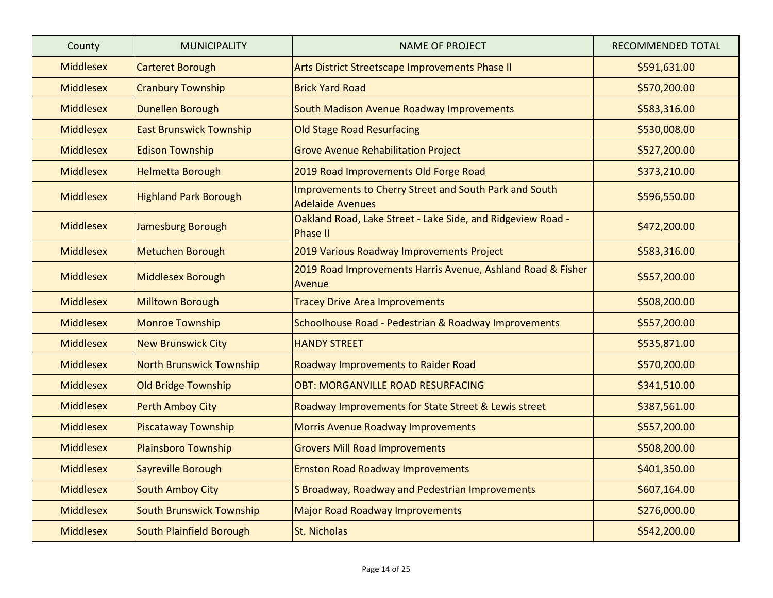| County           | <b>MUNICIPALITY</b>             | <b>NAME OF PROJECT</b>                                                            | RECOMMENDED TOTAL |
|------------------|---------------------------------|-----------------------------------------------------------------------------------|-------------------|
| <b>Middlesex</b> | <b>Carteret Borough</b>         | Arts District Streetscape Improvements Phase II                                   | \$591,631.00      |
| <b>Middlesex</b> | <b>Cranbury Township</b>        | <b>Brick Yard Road</b>                                                            | \$570,200.00      |
| <b>Middlesex</b> | Dunellen Borough                | South Madison Avenue Roadway Improvements                                         | \$583,316.00      |
| <b>Middlesex</b> | <b>East Brunswick Township</b>  | <b>Old Stage Road Resurfacing</b>                                                 | \$530,008.00      |
| <b>Middlesex</b> | <b>Edison Township</b>          | <b>Grove Avenue Rehabilitation Project</b>                                        | \$527,200.00      |
| <b>Middlesex</b> | <b>Helmetta Borough</b>         | 2019 Road Improvements Old Forge Road                                             | \$373,210.00      |
| <b>Middlesex</b> | <b>Highland Park Borough</b>    | Improvements to Cherry Street and South Park and South<br><b>Adelaide Avenues</b> | \$596,550.00      |
| <b>Middlesex</b> | Jamesburg Borough               | Oakland Road, Lake Street - Lake Side, and Ridgeview Road -<br><b>Phase II</b>    | \$472,200.00      |
| <b>Middlesex</b> | <b>Metuchen Borough</b>         | 2019 Various Roadway Improvements Project                                         | \$583,316.00      |
| <b>Middlesex</b> | Middlesex Borough               | 2019 Road Improvements Harris Avenue, Ashland Road & Fisher<br>Avenue             | \$557,200.00      |
| <b>Middlesex</b> | <b>Milltown Borough</b>         | <b>Tracey Drive Area Improvements</b>                                             | \$508,200.00      |
| <b>Middlesex</b> | <b>Monroe Township</b>          | Schoolhouse Road - Pedestrian & Roadway Improvements                              | \$557,200.00      |
| <b>Middlesex</b> | <b>New Brunswick City</b>       | <b>HANDY STREET</b>                                                               | \$535,871.00      |
| <b>Middlesex</b> | <b>North Brunswick Township</b> | Roadway Improvements to Raider Road                                               | \$570,200.00      |
| <b>Middlesex</b> | <b>Old Bridge Township</b>      | <b>OBT: MORGANVILLE ROAD RESURFACING</b>                                          | \$341,510.00      |
| <b>Middlesex</b> | <b>Perth Amboy City</b>         | Roadway Improvements for State Street & Lewis street                              | \$387,561.00      |
| <b>Middlesex</b> | <b>Piscataway Township</b>      | <b>Morris Avenue Roadway Improvements</b>                                         | \$557,200.00      |
| <b>Middlesex</b> | <b>Plainsboro Township</b>      | <b>Grovers Mill Road Improvements</b>                                             | \$508,200.00      |
| <b>Middlesex</b> | Sayreville Borough              | <b>Ernston Road Roadway Improvements</b>                                          | \$401,350.00      |
| <b>Middlesex</b> | <b>South Amboy City</b>         | S Broadway, Roadway and Pedestrian Improvements                                   | \$607,164.00      |
| <b>Middlesex</b> | South Brunswick Township        | <b>Major Road Roadway Improvements</b>                                            | \$276,000.00      |
| <b>Middlesex</b> | South Plainfield Borough        | St. Nicholas                                                                      | \$542,200.00      |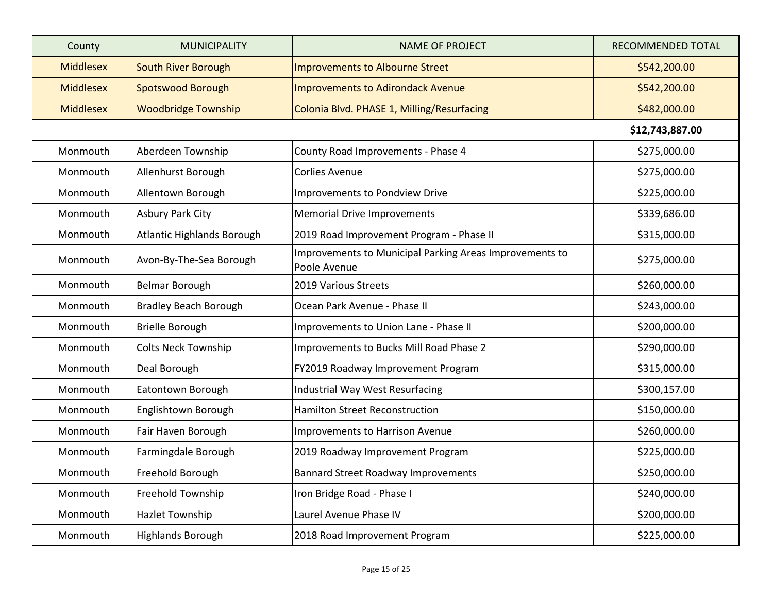| County           | <b>MUNICIPALITY</b>               | <b>NAME OF PROJECT</b>                                                  | RECOMMENDED TOTAL |
|------------------|-----------------------------------|-------------------------------------------------------------------------|-------------------|
| <b>Middlesex</b> | <b>South River Borough</b>        | Improvements to Albourne Street                                         | \$542,200.00      |
| <b>Middlesex</b> | <b>Spotswood Borough</b>          | <b>Improvements to Adirondack Avenue</b>                                | \$542,200.00      |
| <b>Middlesex</b> | <b>Woodbridge Township</b>        | Colonia Blvd. PHASE 1, Milling/Resurfacing                              | \$482,000.00      |
|                  |                                   |                                                                         | \$12,743,887.00   |
| Monmouth         | Aberdeen Township                 | County Road Improvements - Phase 4                                      | \$275,000.00      |
| Monmouth         | Allenhurst Borough                | <b>Corlies Avenue</b>                                                   | \$275,000.00      |
| Monmouth         | Allentown Borough                 | Improvements to Pondview Drive                                          | \$225,000.00      |
| Monmouth         | <b>Asbury Park City</b>           | <b>Memorial Drive Improvements</b>                                      | \$339,686.00      |
| Monmouth         | <b>Atlantic Highlands Borough</b> | 2019 Road Improvement Program - Phase II                                | \$315,000.00      |
| Monmouth         | Avon-By-The-Sea Borough           | Improvements to Municipal Parking Areas Improvements to<br>Poole Avenue | \$275,000.00      |
| Monmouth         | Belmar Borough                    | 2019 Various Streets                                                    | \$260,000.00      |
| Monmouth         | <b>Bradley Beach Borough</b>      | Ocean Park Avenue - Phase II                                            | \$243,000.00      |
| Monmouth         | <b>Brielle Borough</b>            | Improvements to Union Lane - Phase II                                   | \$200,000.00      |
| Monmouth         | <b>Colts Neck Township</b>        | Improvements to Bucks Mill Road Phase 2                                 | \$290,000.00      |
| Monmouth         | Deal Borough                      | FY2019 Roadway Improvement Program                                      | \$315,000.00      |
| Monmouth         | Eatontown Borough                 | Industrial Way West Resurfacing                                         | \$300,157.00      |
| Monmouth         | Englishtown Borough               | <b>Hamilton Street Reconstruction</b>                                   | \$150,000.00      |
| Monmouth         | Fair Haven Borough                | Improvements to Harrison Avenue                                         | \$260,000.00      |
| Monmouth         | Farmingdale Borough               | 2019 Roadway Improvement Program                                        | \$225,000.00      |
| Monmouth         | Freehold Borough                  | <b>Bannard Street Roadway Improvements</b>                              | \$250,000.00      |
| Monmouth         | Freehold Township                 | Iron Bridge Road - Phase I                                              | \$240,000.00      |
| Monmouth         | Hazlet Township                   | Laurel Avenue Phase IV                                                  | \$200,000.00      |
| Monmouth         | <b>Highlands Borough</b>          | 2018 Road Improvement Program                                           | \$225,000.00      |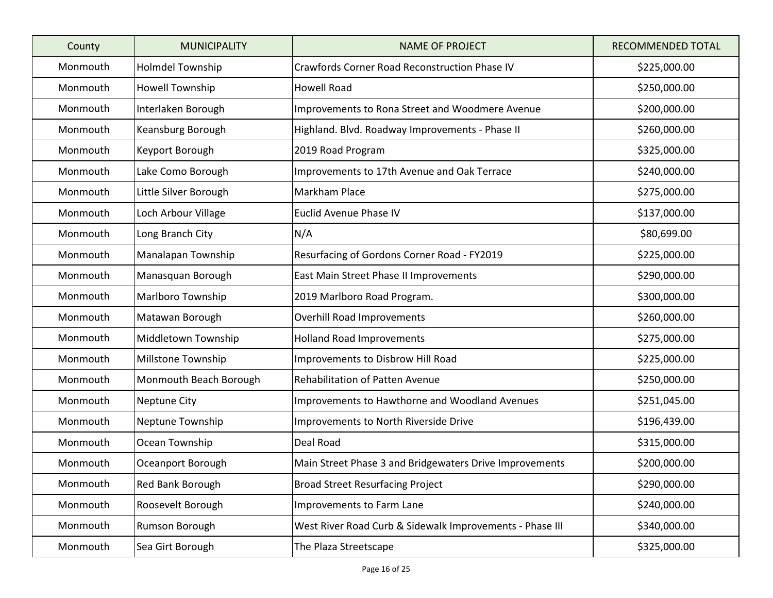| County   | <b>MUNICIPALITY</b>      | <b>NAME OF PROJECT</b>                                   | <b>RECOMMENDED TOTAL</b> |
|----------|--------------------------|----------------------------------------------------------|--------------------------|
| Monmouth | <b>Holmdel Township</b>  | Crawfords Corner Road Reconstruction Phase IV            | \$225,000.00             |
| Monmouth | <b>Howell Township</b>   | <b>Howell Road</b>                                       | \$250,000.00             |
| Monmouth | Interlaken Borough       | Improvements to Rona Street and Woodmere Avenue          | \$200,000.00             |
| Monmouth | Keansburg Borough        | Highland. Blvd. Roadway Improvements - Phase II          | \$260,000.00             |
| Monmouth | Keyport Borough          | 2019 Road Program                                        | \$325,000.00             |
| Monmouth | Lake Como Borough        | Improvements to 17th Avenue and Oak Terrace              | \$240,000.00             |
| Monmouth | Little Silver Borough    | Markham Place                                            | \$275,000.00             |
| Monmouth | Loch Arbour Village      | Euclid Avenue Phase IV                                   | \$137,000.00             |
| Monmouth | Long Branch City         | N/A                                                      | \$80,699.00              |
| Monmouth | Manalapan Township       | Resurfacing of Gordons Corner Road - FY2019              | \$225,000.00             |
| Monmouth | Manasquan Borough        | East Main Street Phase II Improvements                   | \$290,000.00             |
| Monmouth | <b>Marlboro Township</b> | 2019 Marlboro Road Program.                              | \$300,000.00             |
| Monmouth | Matawan Borough          | <b>Overhill Road Improvements</b>                        | \$260,000.00             |
| Monmouth | Middletown Township      | <b>Holland Road Improvements</b>                         | \$275,000.00             |
| Monmouth | Millstone Township       | Improvements to Disbrow Hill Road                        | \$225,000.00             |
| Monmouth | Monmouth Beach Borough   | <b>Rehabilitation of Patten Avenue</b>                   | \$250,000.00             |
| Monmouth | <b>Neptune City</b>      | Improvements to Hawthorne and Woodland Avenues           | \$251,045.00             |
| Monmouth | Neptune Township         | Improvements to North Riverside Drive                    | \$196,439.00             |
| Monmouth | Ocean Township           | Deal Road                                                | \$315,000.00             |
| Monmouth | Oceanport Borough        | Main Street Phase 3 and Bridgewaters Drive Improvements  | \$200,000.00             |
| Monmouth | Red Bank Borough         | <b>Broad Street Resurfacing Project</b>                  | \$290,000.00             |
| Monmouth | Roosevelt Borough        | Improvements to Farm Lane                                | \$240,000.00             |
| Monmouth | Rumson Borough           | West River Road Curb & Sidewalk Improvements - Phase III | \$340,000.00             |
| Monmouth | Sea Girt Borough         | The Plaza Streetscape                                    | \$325,000.00             |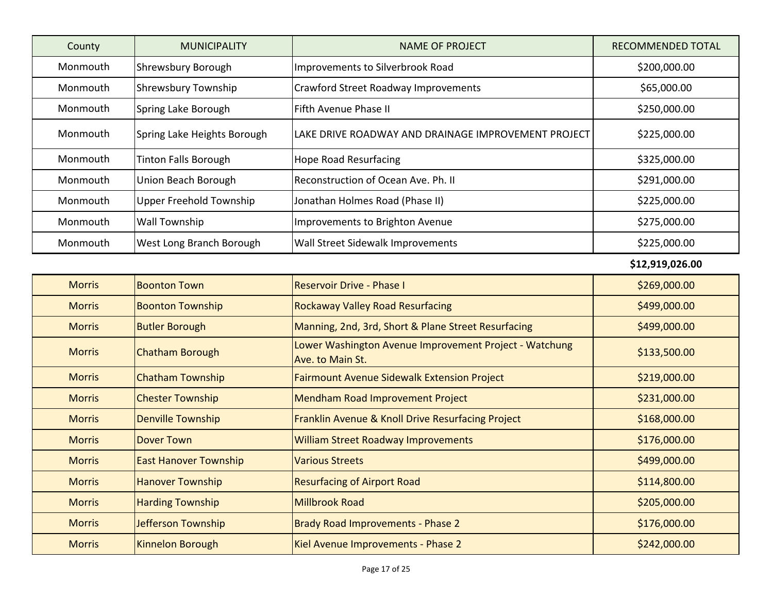| County   | <b>MUNICIPALITY</b>            | NAME OF PROJECT                                     | RECOMMENDED TOTAL |
|----------|--------------------------------|-----------------------------------------------------|-------------------|
| Monmouth | <b>Shrewsbury Borough</b>      | Improvements to Silverbrook Road                    | \$200,000.00      |
| Monmouth | <b>Shrewsbury Township</b>     | <b>Crawford Street Roadway Improvements</b>         | \$65,000.00       |
| Monmouth | Spring Lake Borough            | lFifth Avenue Phase II                              | \$250,000.00      |
| Monmouth | Spring Lake Heights Borough    | LAKE DRIVE ROADWAY AND DRAINAGE IMPROVEMENT PROJECT | \$225,000.00      |
| Monmouth | <b>Tinton Falls Borough</b>    | Hope Road Resurfacing                               | \$325,000.00      |
| Monmouth | Union Beach Borough            | Reconstruction of Ocean Ave. Ph. II                 | \$291,000.00      |
| Monmouth | <b>Upper Freehold Township</b> | Jonathan Holmes Road (Phase II)                     | \$225,000.00      |
| Monmouth | <b>Wall Township</b>           | Improvements to Brighton Avenue                     | \$275,000.00      |
| Monmouth | West Long Branch Borough       | Wall Street Sidewalk Improvements                   | \$225,000.00      |

**\$12,919,026.00** 

| <b>Morris</b> | <b>Boonton Town</b>          | <b>Reservoir Drive - Phase I</b>                                           | \$269,000.00 |
|---------------|------------------------------|----------------------------------------------------------------------------|--------------|
| <b>Morris</b> | <b>Boonton Township</b>      | <b>Rockaway Valley Road Resurfacing</b>                                    | \$499,000.00 |
| <b>Morris</b> | <b>Butler Borough</b>        | Manning, 2nd, 3rd, Short & Plane Street Resurfacing                        | \$499,000.00 |
| <b>Morris</b> | <b>Chatham Borough</b>       | Lower Washington Avenue Improvement Project - Watchung<br>Ave. to Main St. | \$133,500.00 |
| <b>Morris</b> | <b>Chatham Township</b>      | <b>Fairmount Avenue Sidewalk Extension Project</b>                         | \$219,000.00 |
| <b>Morris</b> | <b>Chester Township</b>      | <b>Mendham Road Improvement Project</b>                                    | \$231,000.00 |
| <b>Morris</b> | <b>Denville Township</b>     | Franklin Avenue & Knoll Drive Resurfacing Project                          | \$168,000.00 |
| <b>Morris</b> | <b>Dover Town</b>            | <b>William Street Roadway Improvements</b>                                 | \$176,000.00 |
| <b>Morris</b> | <b>East Hanover Township</b> | <b>Various Streets</b>                                                     | \$499,000.00 |
| <b>Morris</b> | <b>Hanover Township</b>      | <b>Resurfacing of Airport Road</b>                                         | \$114,800.00 |
| <b>Morris</b> | <b>Harding Township</b>      | <b>Millbrook Road</b>                                                      | \$205,000.00 |
| <b>Morris</b> | Jefferson Township           | <b>Brady Road Improvements - Phase 2</b>                                   | \$176,000.00 |
| <b>Morris</b> | <b>Kinnelon Borough</b>      | Kiel Avenue Improvements - Phase 2                                         | \$242,000.00 |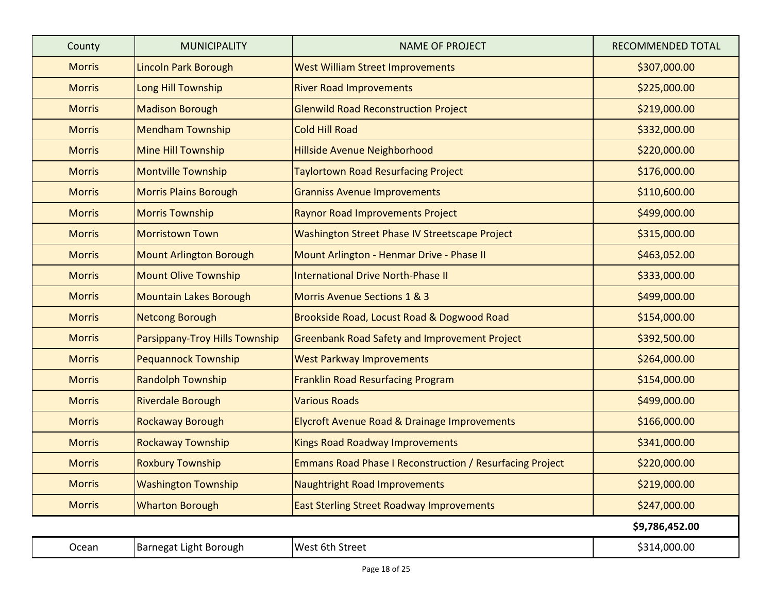| County        | <b>MUNICIPALITY</b>            | <b>NAME OF PROJECT</b>                                   | <b>RECOMMENDED TOTAL</b> |
|---------------|--------------------------------|----------------------------------------------------------|--------------------------|
| <b>Morris</b> | Lincoln Park Borough           | <b>West William Street Improvements</b>                  | \$307,000.00             |
| <b>Morris</b> | Long Hill Township             | <b>River Road Improvements</b>                           | \$225,000.00             |
| <b>Morris</b> | <b>Madison Borough</b>         | <b>Glenwild Road Reconstruction Project</b>              | \$219,000.00             |
| <b>Morris</b> | <b>Mendham Township</b>        | <b>Cold Hill Road</b>                                    | \$332,000.00             |
| <b>Morris</b> | Mine Hill Township             | Hillside Avenue Neighborhood                             | \$220,000.00             |
| <b>Morris</b> | <b>Montville Township</b>      | <b>Taylortown Road Resurfacing Project</b>               | \$176,000.00             |
| <b>Morris</b> | <b>Morris Plains Borough</b>   | <b>Granniss Avenue Improvements</b>                      | \$110,600.00             |
| <b>Morris</b> | <b>Morris Township</b>         | <b>Raynor Road Improvements Project</b>                  | \$499,000.00             |
| <b>Morris</b> | <b>Morristown Town</b>         | Washington Street Phase IV Streetscape Project           | \$315,000.00             |
| <b>Morris</b> | <b>Mount Arlington Borough</b> | Mount Arlington - Henmar Drive - Phase II                | \$463,052.00             |
| <b>Morris</b> | <b>Mount Olive Township</b>    | <b>International Drive North-Phase II</b>                | \$333,000.00             |
| <b>Morris</b> | <b>Mountain Lakes Borough</b>  | Morris Avenue Sections 1 & 3                             | \$499,000.00             |
| <b>Morris</b> | <b>Netcong Borough</b>         | Brookside Road, Locust Road & Dogwood Road               | \$154,000.00             |
| <b>Morris</b> | Parsippany-Troy Hills Township | <b>Greenbank Road Safety and Improvement Project</b>     | \$392,500.00             |
| <b>Morris</b> | <b>Pequannock Township</b>     | <b>West Parkway Improvements</b>                         | \$264,000.00             |
| <b>Morris</b> | <b>Randolph Township</b>       | <b>Franklin Road Resurfacing Program</b>                 | \$154,000.00             |
| <b>Morris</b> | <b>Riverdale Borough</b>       | <b>Various Roads</b>                                     | \$499,000.00             |
| <b>Morris</b> | <b>Rockaway Borough</b>        | <b>Elycroft Avenue Road &amp; Drainage Improvements</b>  | \$166,000.00             |
| <b>Morris</b> | <b>Rockaway Township</b>       | <b>Kings Road Roadway Improvements</b>                   | \$341,000.00             |
| <b>Morris</b> | <b>Roxbury Township</b>        | Emmans Road Phase I Reconstruction / Resurfacing Project | \$220,000.00             |
| <b>Morris</b> | <b>Washington Township</b>     | <b>Naughtright Road Improvements</b>                     | \$219,000.00             |
| <b>Morris</b> | <b>Wharton Borough</b>         | <b>East Sterling Street Roadway Improvements</b>         | \$247,000.00             |
|               |                                |                                                          | \$9,786,452.00           |
| Ocean         | Barnegat Light Borough         | West 6th Street                                          | \$314,000.00             |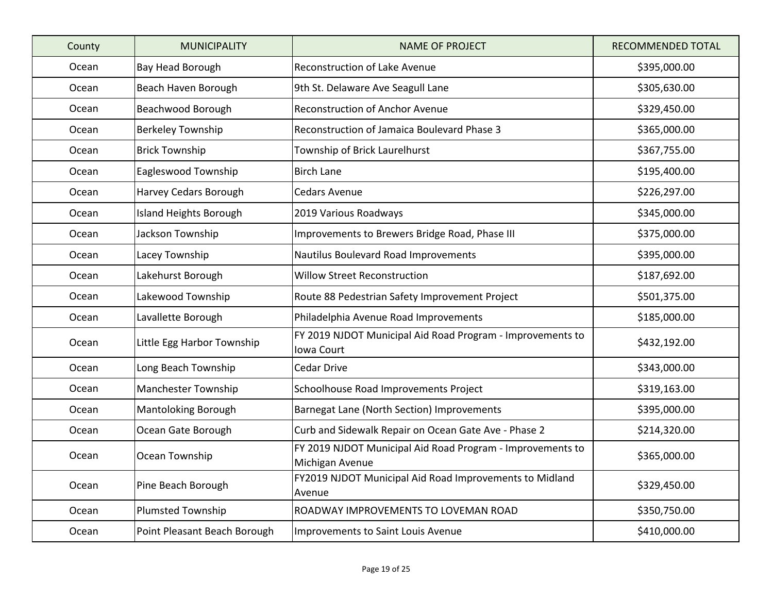| County | <b>MUNICIPALITY</b>          | <b>NAME OF PROJECT</b>                                                        | <b>RECOMMENDED TOTAL</b> |
|--------|------------------------------|-------------------------------------------------------------------------------|--------------------------|
| Ocean  | Bay Head Borough             | <b>Reconstruction of Lake Avenue</b>                                          | \$395,000.00             |
| Ocean  | Beach Haven Borough          | 9th St. Delaware Ave Seagull Lane                                             | \$305,630.00             |
| Ocean  | Beachwood Borough            | <b>Reconstruction of Anchor Avenue</b>                                        | \$329,450.00             |
| Ocean  | <b>Berkeley Township</b>     | Reconstruction of Jamaica Boulevard Phase 3                                   | \$365,000.00             |
| Ocean  | <b>Brick Township</b>        | Township of Brick Laurelhurst                                                 | \$367,755.00             |
| Ocean  | Eagleswood Township          | <b>Birch Lane</b>                                                             | \$195,400.00             |
| Ocean  | Harvey Cedars Borough        | <b>Cedars Avenue</b>                                                          | \$226,297.00             |
| Ocean  | Island Heights Borough       | 2019 Various Roadways                                                         | \$345,000.00             |
| Ocean  | Jackson Township             | Improvements to Brewers Bridge Road, Phase III                                | \$375,000.00             |
| Ocean  | Lacey Township               | Nautilus Boulevard Road Improvements                                          | \$395,000.00             |
| Ocean  | Lakehurst Borough            | <b>Willow Street Reconstruction</b>                                           | \$187,692.00             |
| Ocean  | Lakewood Township            | Route 88 Pedestrian Safety Improvement Project                                | \$501,375.00             |
| Ocean  | Lavallette Borough           | Philadelphia Avenue Road Improvements                                         | \$185,000.00             |
| Ocean  | Little Egg Harbor Township   | FY 2019 NJDOT Municipal Aid Road Program - Improvements to<br>Iowa Court      | \$432,192.00             |
| Ocean  | Long Beach Township          | <b>Cedar Drive</b>                                                            | \$343,000.00             |
| Ocean  | Manchester Township          | Schoolhouse Road Improvements Project                                         | \$319,163.00             |
| Ocean  | <b>Mantoloking Borough</b>   | Barnegat Lane (North Section) Improvements                                    | \$395,000.00             |
| Ocean  | Ocean Gate Borough           | Curb and Sidewalk Repair on Ocean Gate Ave - Phase 2                          | \$214,320.00             |
| Ocean  | Ocean Township               | FY 2019 NJDOT Municipal Aid Road Program - Improvements to<br>Michigan Avenue | \$365,000.00             |
| Ocean  | Pine Beach Borough           | FY2019 NJDOT Municipal Aid Road Improvements to Midland<br>Avenue             | \$329,450.00             |
| Ocean  | Plumsted Township            | ROADWAY IMPROVEMENTS TO LOVEMAN ROAD                                          | \$350,750.00             |
| Ocean  | Point Pleasant Beach Borough | <b>Improvements to Saint Louis Avenue</b>                                     | \$410,000.00             |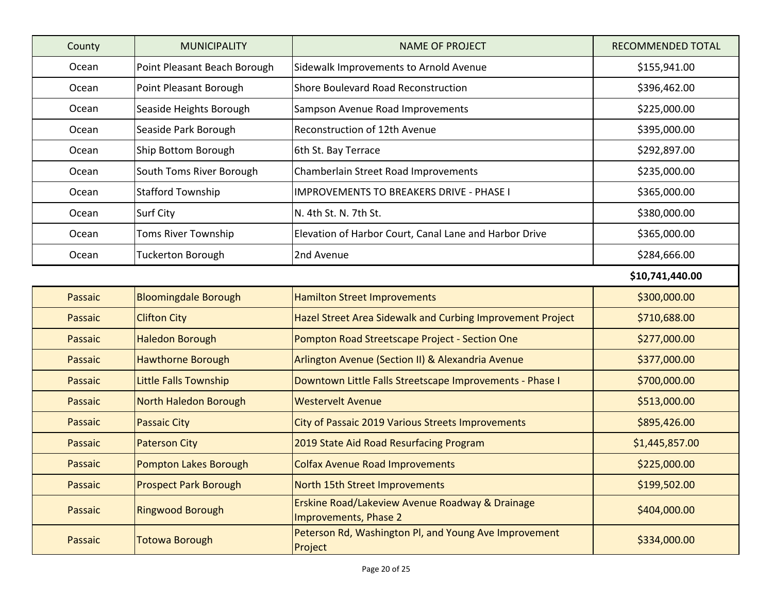| County  | <b>MUNICIPALITY</b>          | <b>NAME OF PROJECT</b>                                                              | <b>RECOMMENDED TOTAL</b> |
|---------|------------------------------|-------------------------------------------------------------------------------------|--------------------------|
| Ocean   | Point Pleasant Beach Borough | Sidewalk Improvements to Arnold Avenue                                              | \$155,941.00             |
| Ocean   | Point Pleasant Borough       | Shore Boulevard Road Reconstruction                                                 | \$396,462.00             |
| Ocean   | Seaside Heights Borough      | Sampson Avenue Road Improvements                                                    | \$225,000.00             |
| Ocean   | Seaside Park Borough         | Reconstruction of 12th Avenue                                                       | \$395,000.00             |
| Ocean   | Ship Bottom Borough          | 6th St. Bay Terrace                                                                 | \$292,897.00             |
| Ocean   | South Toms River Borough     | Chamberlain Street Road Improvements                                                | \$235,000.00             |
| Ocean   | <b>Stafford Township</b>     | <b>IMPROVEMENTS TO BREAKERS DRIVE - PHASE I</b>                                     | \$365,000.00             |
| Ocean   | <b>Surf City</b>             | N. 4th St. N. 7th St.                                                               | \$380,000.00             |
| Ocean   | Toms River Township          | Elevation of Harbor Court, Canal Lane and Harbor Drive                              | \$365,000.00             |
| Ocean   | <b>Tuckerton Borough</b>     | 2nd Avenue                                                                          | \$284,666.00             |
|         |                              |                                                                                     | \$10,741,440.00          |
| Passaic | <b>Bloomingdale Borough</b>  | <b>Hamilton Street Improvements</b>                                                 | \$300,000.00             |
| Passaic | <b>Clifton City</b>          | Hazel Street Area Sidewalk and Curbing Improvement Project                          | \$710,688.00             |
| Passaic | <b>Haledon Borough</b>       | Pompton Road Streetscape Project - Section One                                      | \$277,000.00             |
| Passaic | <b>Hawthorne Borough</b>     | Arlington Avenue (Section II) & Alexandria Avenue                                   | \$377,000.00             |
| Passaic | <b>Little Falls Township</b> | Downtown Little Falls Streetscape Improvements - Phase I                            | \$700,000.00             |
| Passaic | North Haledon Borough        | <b>Westervelt Avenue</b>                                                            | \$513,000.00             |
| Passaic | <b>Passaic City</b>          | City of Passaic 2019 Various Streets Improvements                                   | \$895,426.00             |
| Passaic | <b>Paterson City</b>         | 2019 State Aid Road Resurfacing Program                                             | \$1,445,857.00           |
| Passaic | <b>Pompton Lakes Borough</b> | <b>Colfax Avenue Road Improvements</b>                                              | \$225,000.00             |
| Passaic | <b>Prospect Park Borough</b> | North 15th Street Improvements                                                      | \$199,502.00             |
| Passaic | <b>Ringwood Borough</b>      | <b>Erskine Road/Lakeview Avenue Roadway &amp; Drainage</b><br>Improvements, Phase 2 | \$404,000.00             |
| Passaic | Totowa Borough               | Peterson Rd, Washington Pl, and Young Ave Improvement<br>Project                    | \$334,000.00             |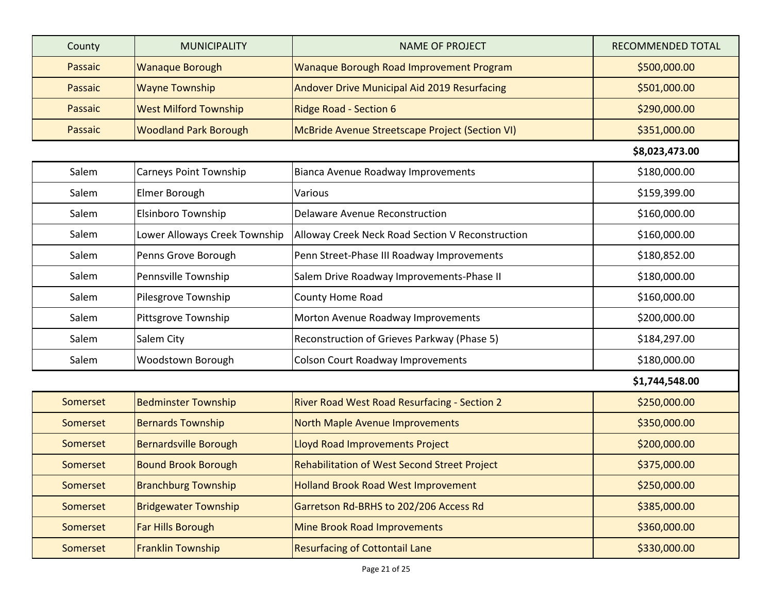| County   | <b>MUNICIPALITY</b>           | <b>NAME OF PROJECT</b>                                  | RECOMMENDED TOTAL |
|----------|-------------------------------|---------------------------------------------------------|-------------------|
| Passaic  | <b>Wanaque Borough</b>        | Wanaque Borough Road Improvement Program                | \$500,000.00      |
| Passaic  | <b>Wayne Township</b>         | Andover Drive Municipal Aid 2019 Resurfacing            | \$501,000.00      |
| Passaic  | <b>West Milford Township</b>  | <b>Ridge Road - Section 6</b>                           | \$290,000.00      |
| Passaic  | <b>Woodland Park Borough</b>  | McBride Avenue Streetscape Project (Section VI)         | \$351,000.00      |
|          |                               |                                                         | \$8,023,473.00    |
| Salem    | Carneys Point Township        | <b>Bianca Avenue Roadway Improvements</b>               | \$180,000.00      |
| Salem    | Elmer Borough                 | Various                                                 | \$159,399.00      |
| Salem    | Elsinboro Township            | <b>Delaware Avenue Reconstruction</b>                   | \$160,000.00      |
| Salem    | Lower Alloways Creek Township | <b>Alloway Creek Neck Road Section V Reconstruction</b> | \$160,000.00      |
| Salem    | Penns Grove Borough           | Penn Street-Phase III Roadway Improvements              | \$180,852.00      |
| Salem    | Pennsville Township           | Salem Drive Roadway Improvements-Phase II               | \$180,000.00      |
| Salem    | Pilesgrove Township           | County Home Road                                        | \$160,000.00      |
| Salem    | Pittsgrove Township           | Morton Avenue Roadway Improvements                      | \$200,000.00      |
| Salem    | Salem City                    | Reconstruction of Grieves Parkway (Phase 5)             | \$184,297.00      |
| Salem    | Woodstown Borough             | <b>Colson Court Roadway Improvements</b>                | \$180,000.00      |
|          |                               |                                                         | \$1,744,548.00    |
| Somerset | <b>Bedminster Township</b>    | River Road West Road Resurfacing - Section 2            | \$250,000.00      |
| Somerset | <b>Bernards Township</b>      | North Maple Avenue Improvements                         | \$350,000.00      |
| Somerset | <b>Bernardsville Borough</b>  | Lloyd Road Improvements Project                         | \$200,000.00      |
| Somerset | <b>Bound Brook Borough</b>    | Rehabilitation of West Second Street Project            | \$375,000.00      |
| Somerset | <b>Branchburg Township</b>    | <b>Holland Brook Road West Improvement</b>              | \$250,000.00      |
| Somerset | <b>Bridgewater Township</b>   | Garretson Rd-BRHS to 202/206 Access Rd                  | \$385,000.00      |
| Somerset | Far Hills Borough             | <b>Mine Brook Road Improvements</b>                     | \$360,000.00      |
| Somerset | <b>Franklin Township</b>      | <b>Resurfacing of Cottontail Lane</b>                   | \$330,000.00      |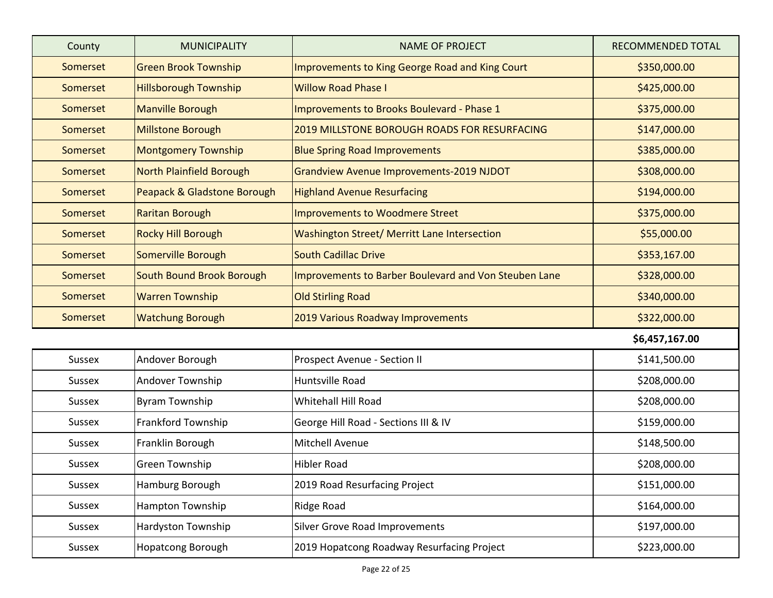| County   | <b>MUNICIPALITY</b>              | <b>NAME OF PROJECT</b>                                | <b>RECOMMENDED TOTAL</b> |
|----------|----------------------------------|-------------------------------------------------------|--------------------------|
| Somerset | <b>Green Brook Township</b>      | Improvements to King George Road and King Court       | \$350,000.00             |
| Somerset | <b>Hillsborough Township</b>     | <b>Willow Road Phase I</b>                            | \$425,000.00             |
| Somerset | <b>Manville Borough</b>          | Improvements to Brooks Boulevard - Phase 1            | \$375,000.00             |
| Somerset | Millstone Borough                | <b>2019 MILLSTONE BOROUGH ROADS FOR RESURFACING</b>   | \$147,000.00             |
| Somerset | <b>Montgomery Township</b>       | <b>Blue Spring Road Improvements</b>                  | \$385,000.00             |
| Somerset | North Plainfield Borough         | <b>Grandview Avenue Improvements-2019 NJDOT</b>       | \$308,000.00             |
| Somerset | Peapack & Gladstone Borough      | <b>Highland Avenue Resurfacing</b>                    | \$194,000.00             |
| Somerset | <b>Raritan Borough</b>           | <b>Improvements to Woodmere Street</b>                | \$375,000.00             |
| Somerset | <b>Rocky Hill Borough</b>        | Washington Street/ Merritt Lane Intersection          | \$55,000.00              |
| Somerset | Somerville Borough               | <b>South Cadillac Drive</b>                           | \$353,167.00             |
| Somerset | <b>South Bound Brook Borough</b> | Improvements to Barber Boulevard and Von Steuben Lane | \$328,000.00             |
| Somerset | <b>Warren Township</b>           | <b>Old Stirling Road</b>                              | \$340,000.00             |
| Somerset | <b>Watchung Borough</b>          | 2019 Various Roadway Improvements                     | \$322,000.00             |
|          |                                  |                                                       | \$6,457,167.00           |
| Sussex   | Andover Borough                  | Prospect Avenue - Section II                          | \$141,500.00             |
| Sussex   | Andover Township                 | Huntsville Road                                       | \$208,000.00             |
| Sussex   | <b>Byram Township</b>            | Whitehall Hill Road                                   | \$208,000.00             |
| Sussex   | Frankford Township               | George Hill Road - Sections III & IV                  | \$159,000.00             |
| Sussex   | Franklin Borough                 | <b>Mitchell Avenue</b>                                | \$148,500.00             |
| Sussex   | <b>Green Township</b>            | <b>Hibler Road</b>                                    | \$208,000.00             |
| Sussex   | Hamburg Borough                  | 2019 Road Resurfacing Project                         | \$151,000.00             |
| Sussex   | <b>Hampton Township</b>          | <b>Ridge Road</b>                                     | \$164,000.00             |
| Sussex   | Hardyston Township               | Silver Grove Road Improvements                        | \$197,000.00             |
| Sussex   | Hopatcong Borough                | 2019 Hopatcong Roadway Resurfacing Project            | \$223,000.00             |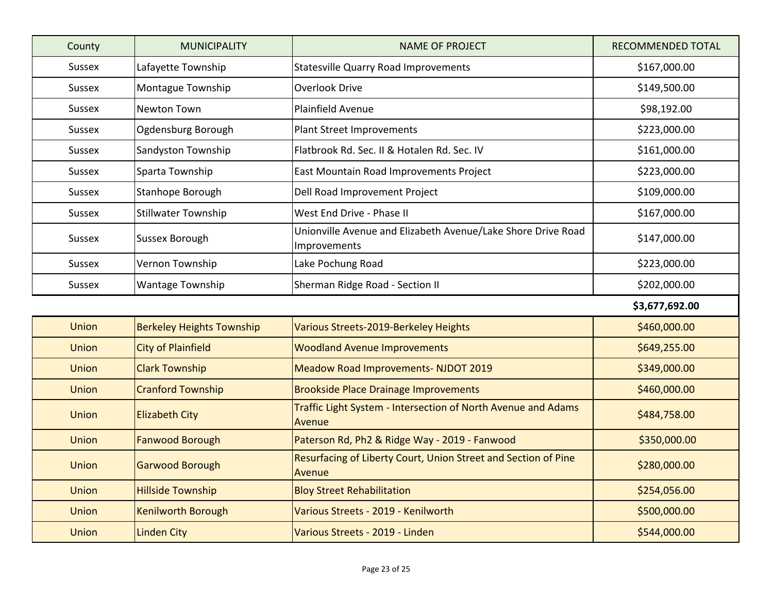| County        | <b>MUNICIPALITY</b>              | <b>NAME OF PROJECT</b>                                                       | <b>RECOMMENDED TOTAL</b> |
|---------------|----------------------------------|------------------------------------------------------------------------------|--------------------------|
| Sussex        | Lafayette Township               | <b>Statesville Quarry Road Improvements</b>                                  | \$167,000.00             |
| <b>Sussex</b> | Montague Township                | <b>Overlook Drive</b>                                                        | \$149,500.00             |
| <b>Sussex</b> | Newton Town                      | Plainfield Avenue                                                            | \$98,192.00              |
| Sussex        | Ogdensburg Borough               | <b>Plant Street Improvements</b>                                             | \$223,000.00             |
| Sussex        | Sandyston Township               | Flatbrook Rd. Sec. II & Hotalen Rd. Sec. IV                                  | \$161,000.00             |
| <b>Sussex</b> | Sparta Township                  | East Mountain Road Improvements Project                                      | \$223,000.00             |
| Sussex        | Stanhope Borough                 | Dell Road Improvement Project                                                | \$109,000.00             |
| Sussex        | <b>Stillwater Township</b>       | West End Drive - Phase II                                                    | \$167,000.00             |
| Sussex        | Sussex Borough                   | Unionville Avenue and Elizabeth Avenue/Lake Shore Drive Road<br>Improvements | \$147,000.00             |
| Sussex        | Vernon Township                  | Lake Pochung Road                                                            | \$223,000.00             |
| Sussex        | Wantage Township                 | Sherman Ridge Road - Section II                                              | \$202,000.00             |
|               |                                  |                                                                              | \$3,677,692.00           |
| Union         | <b>Berkeley Heights Township</b> | Various Streets-2019-Berkeley Heights                                        | \$460,000.00             |
| <b>Union</b>  | <b>City of Plainfield</b>        | <b>Woodland Avenue Improvements</b>                                          | \$649,255.00             |
| <b>Union</b>  | <b>Clark Township</b>            | Meadow Road Improvements- NJDOT 2019                                         | \$349,000.00             |
| <b>Union</b>  | <b>Cranford Township</b>         | <b>Brookside Place Drainage Improvements</b>                                 | \$460,000.00             |
| <b>Union</b>  | <b>Elizabeth City</b>            | Traffic Light System - Intersection of North Avenue and Adams<br>Avenue      | \$484,758.00             |
| Union         | <b>Fanwood Borough</b>           | Paterson Rd, Ph2 & Ridge Way - 2019 - Fanwood                                | \$350,000.00             |
| <b>Union</b>  | Garwood Borough                  | Resurfacing of Liberty Court, Union Street and Section of Pine<br>Avenue     | \$280,000.00             |
| <b>Union</b>  | <b>Hillside Township</b>         | <b>Bloy Street Rehabilitation</b>                                            | \$254,056.00             |
| <b>Union</b>  | <b>Kenilworth Borough</b>        | Various Streets - 2019 - Kenilworth                                          | \$500,000.00             |
| <b>Union</b>  | <b>Linden City</b>               | Various Streets - 2019 - Linden                                              | \$544,000.00             |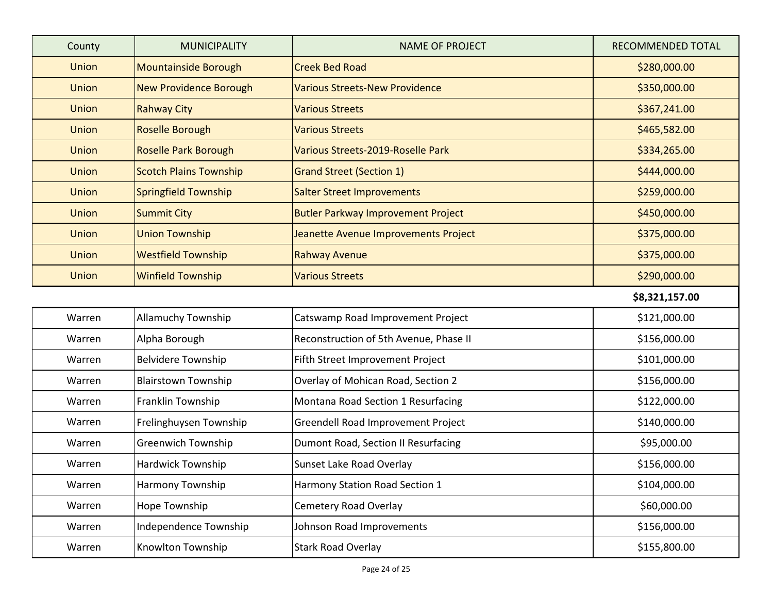| County       | <b>MUNICIPALITY</b>           | <b>NAME OF PROJECT</b>                    | RECOMMENDED TOTAL |
|--------------|-------------------------------|-------------------------------------------|-------------------|
| <b>Union</b> | Mountainside Borough          | <b>Creek Bed Road</b>                     | \$280,000.00      |
| <b>Union</b> | <b>New Providence Borough</b> | <b>Various Streets-New Providence</b>     | \$350,000.00      |
| <b>Union</b> | <b>Rahway City</b>            | <b>Various Streets</b>                    | \$367,241.00      |
| <b>Union</b> | Roselle Borough               | <b>Various Streets</b>                    | \$465,582.00      |
| <b>Union</b> | <b>Roselle Park Borough</b>   | Various Streets-2019-Roselle Park         | \$334,265.00      |
| <b>Union</b> | <b>Scotch Plains Township</b> | <b>Grand Street (Section 1)</b>           | \$444,000.00      |
| <b>Union</b> | <b>Springfield Township</b>   | <b>Salter Street Improvements</b>         | \$259,000.00      |
| <b>Union</b> | <b>Summit City</b>            | <b>Butler Parkway Improvement Project</b> | \$450,000.00      |
| <b>Union</b> | <b>Union Township</b>         | Jeanette Avenue Improvements Project      | \$375,000.00      |
| <b>Union</b> | <b>Westfield Township</b>     | <b>Rahway Avenue</b>                      | \$375,000.00      |
| Union        | <b>Winfield Township</b>      | <b>Various Streets</b>                    | \$290,000.00      |
|              |                               |                                           | \$8,321,157.00    |
| Warren       | <b>Allamuchy Township</b>     | Catswamp Road Improvement Project         | \$121,000.00      |
| Warren       | Alpha Borough                 | Reconstruction of 5th Avenue, Phase II    | \$156,000.00      |
| Warren       | <b>Belvidere Township</b>     | Fifth Street Improvement Project          | \$101,000.00      |
| Warren       | <b>Blairstown Township</b>    | Overlay of Mohican Road, Section 2        | \$156,000.00      |
| Warren       | Franklin Township             | Montana Road Section 1 Resurfacing        | \$122,000.00      |
| Warren       | Frelinghuysen Township        | Greendell Road Improvement Project        | \$140,000.00      |
| Warren       | <b>Greenwich Township</b>     | Dumont Road, Section II Resurfacing       | \$95,000.00       |
| Warren       | <b>Hardwick Township</b>      | Sunset Lake Road Overlay                  | \$156,000.00      |
| Warren       | Harmony Township              | Harmony Station Road Section 1            | \$104,000.00      |
| Warren       | Hope Township                 | <b>Cemetery Road Overlay</b>              | \$60,000.00       |
| Warren       | Independence Township         | Johnson Road Improvements                 | \$156,000.00      |
| Warren       | Knowlton Township             | <b>Stark Road Overlay</b>                 | \$155,800.00      |